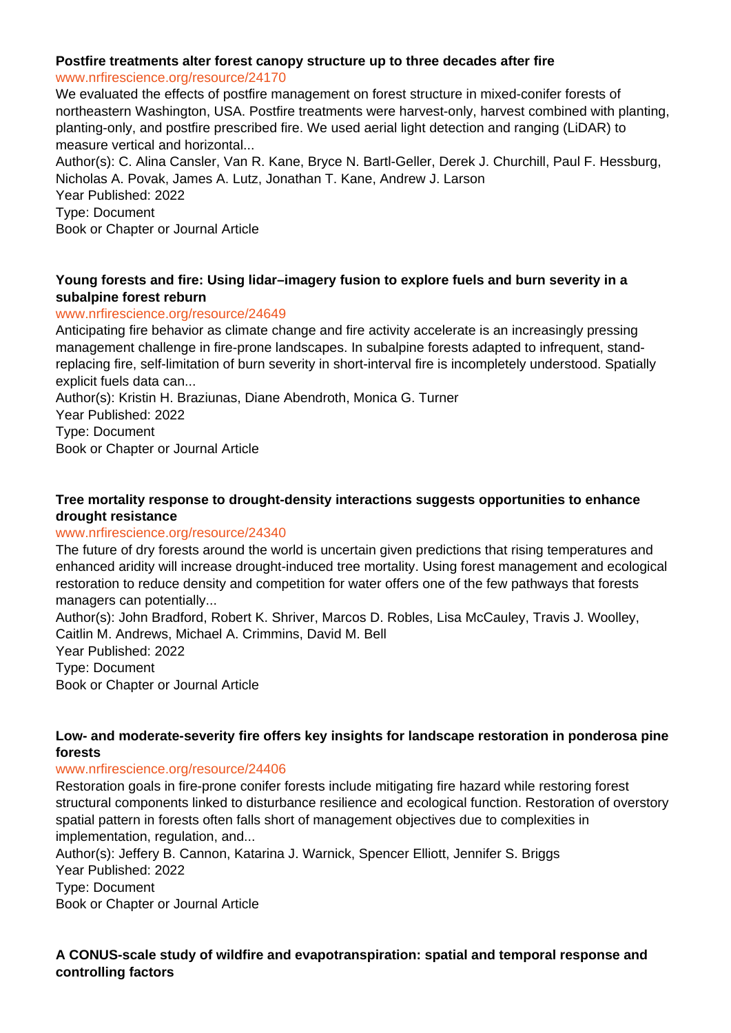## **Postfire treatments alter forest canopy structure up to three decades after fire**

#### www.nrfirescience.org/resource/24170

We evaluated the effects of postfire management on forest structure in mixed-conifer forests of northeastern Washington, USA. Postfire treatments were harvest-only, harvest combined with planting, planting-only, and postfire prescribed fire. We used aerial light detection and ranging (LiDAR) to measure vertical and horizontal...

Author(s): C. Alina Cansler, Van R. Kane, Bryce N. Bartl-Geller, Derek J. Churchill, Paul F. Hessburg, Nicholas A. Povak, James A. Lutz, Jonathan T. Kane, Andrew J. Larson Year Published: 2022

Type: Document

Book or Chapter or Journal Article

## **Young forests and fire: Using lidar–imagery fusion to explore fuels and burn severity in a subalpine forest reburn**

#### www.nrfirescience.org/resource/24649

Anticipating fire behavior as climate change and fire activity accelerate is an increasingly pressing management challenge in fire-prone landscapes. In subalpine forests adapted to infrequent, standreplacing fire, self-limitation of burn severity in short-interval fire is incompletely understood. Spatially explicit fuels data can...

Author(s): Kristin H. Braziunas, Diane Abendroth, Monica G. Turner Year Published: 2022

Type: Document

Book or Chapter or Journal Article

#### **Tree mortality response to drought-density interactions suggests opportunities to enhance drought resistance**

#### www.nrfirescience.org/resource/24340

The future of dry forests around the world is uncertain given predictions that rising temperatures and enhanced aridity will increase drought-induced tree mortality. Using forest management and ecological restoration to reduce density and competition for water offers one of the few pathways that forests managers can potentially...

Author(s): John Bradford, Robert K. Shriver, Marcos D. Robles, Lisa McCauley, Travis J. Woolley, Caitlin M. Andrews, Michael A. Crimmins, David M. Bell Year Published: 2022

Type: Document

Book or Chapter or Journal Article

#### **Low- and moderate-severity fire offers key insights for landscape restoration in ponderosa pine forests**

## www.nrfirescience.org/resource/24406

Restoration goals in fire-prone conifer forests include mitigating fire hazard while restoring forest structural components linked to disturbance resilience and ecological function. Restoration of overstory spatial pattern in forests often falls short of management objectives due to complexities in implementation, regulation, and...

Author(s): Jeffery B. Cannon, Katarina J. Warnick, Spencer Elliott, Jennifer S. Briggs Year Published: 2022

Type: Document

Book or Chapter or Journal Article

**A CONUS-scale study of wildfire and evapotranspiration: spatial and temporal response and controlling factors**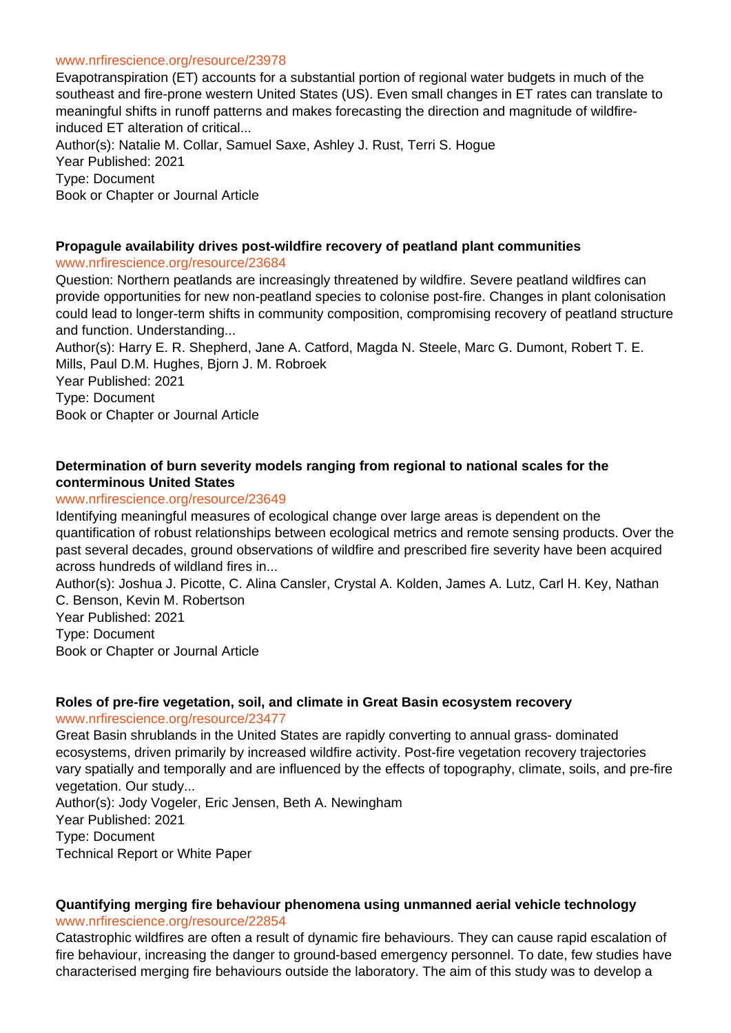#### www.nrfirescience.org/resource/23978

Evapotranspiration (ET) accounts for a substantial portion of regional water budgets in much of the southeast and fire-prone western United States (US). Even small changes in ET rates can translate to meaningful shifts in runoff patterns and makes forecasting the direction and magnitude of wildfireinduced ET alteration of critical...

Author(s): Natalie M. Collar, Samuel Saxe, Ashley J. Rust, Terri S. Hogue Year Published: 2021 Type: Document Book or Chapter or Journal Article

#### **Propagule availability drives post-wildfire recovery of peatland plant communities**

#### www.nrfirescience.org/resource/23684

Question: Northern peatlands are increasingly threatened by wildfire. Severe peatland wildfires can provide opportunities for new non-peatland species to colonise post-fire. Changes in plant colonisation could lead to longer-term shifts in community composition, compromising recovery of peatland structure and function. Understanding...

Author(s): Harry E. R. Shepherd, Jane A. Catford, Magda N. Steele, Marc G. Dumont, Robert T. E. Mills, Paul D.M. Hughes, Bjorn J. M. Robroek

Year Published: 2021 Type: Document Book or Chapter or Journal Article

## **Determination of burn severity models ranging from regional to national scales for the conterminous United States**

#### www.nrfirescience.org/resource/23649

Identifying meaningful measures of ecological change over large areas is dependent on the quantification of robust relationships between ecological metrics and remote sensing products. Over the past several decades, ground observations of wildfire and prescribed fire severity have been acquired across hundreds of wildland fires in...

Author(s): Joshua J. Picotte, C. Alina Cansler, Crystal A. Kolden, James A. Lutz, Carl H. Key, Nathan C. Benson, Kevin M. Robertson

Year Published: 2021 Type: Document Book or Chapter or Journal Article

#### **Roles of pre-fire vegetation, soil, and climate in Great Basin ecosystem recovery**

#### www.nrfirescience.org/resource/23477

Great Basin shrublands in the United States are rapidly converting to annual grass- dominated ecosystems, driven primarily by increased wildfire activity. Post-fire vegetation recovery trajectories vary spatially and temporally and are influenced by the effects of topography, climate, soils, and pre-fire vegetation. Our study...

Author(s): Jody Vogeler, Eric Jensen, Beth A. Newingham Year Published: 2021 Type: Document Technical Report or White Paper

# **Quantifying merging fire behaviour phenomena using unmanned aerial vehicle technology**

www.nrfirescience.org/resource/22854

Catastrophic wildfires are often a result of dynamic fire behaviours. They can cause rapid escalation of fire behaviour, increasing the danger to ground-based emergency personnel. To date, few studies have characterised merging fire behaviours outside the laboratory. The aim of this study was to develop a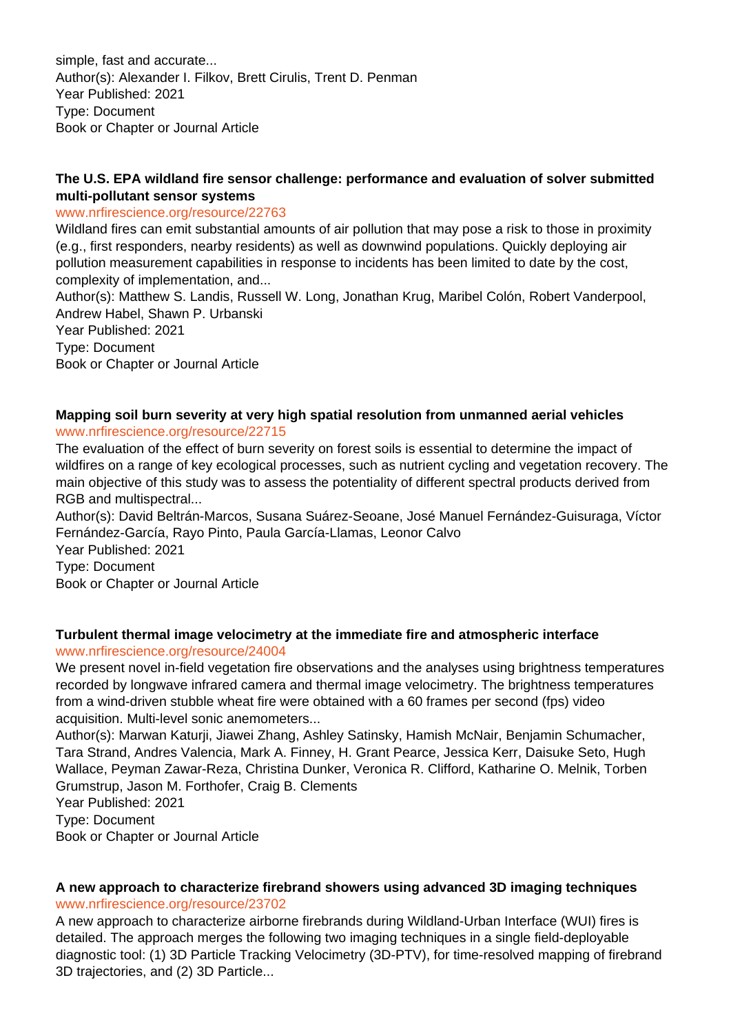simple, fast and accurate... Author(s): Alexander I. Filkov, Brett Cirulis, Trent D. Penman Year Published: 2021 Type: Document Book or Chapter or Journal Article

#### **The U.S. EPA wildland fire sensor challenge: performance and evaluation of solver submitted multi-pollutant sensor systems**

#### www.nrfirescience.org/resource/22763

Wildland fires can emit substantial amounts of air pollution that may pose a risk to those in proximity (e.g., first responders, nearby residents) as well as downwind populations. Quickly deploying air pollution measurement capabilities in response to incidents has been limited to date by the cost, complexity of implementation, and...

Author(s): Matthew S. Landis, Russell W. Long, Jonathan Krug, Maribel Colón, Robert Vanderpool, Andrew Habel, Shawn P. Urbanski

Year Published: 2021 Type: Document Book or Chapter or Journal Article

## **Mapping soil burn severity at very high spatial resolution from unmanned aerial vehicles** www.nrfirescience.org/resource/22715

The evaluation of the effect of burn severity on forest soils is essential to determine the impact of wildfires on a range of key ecological processes, such as nutrient cycling and vegetation recovery. The main objective of this study was to assess the potentiality of different spectral products derived from RGB and multispectral...

Author(s): David Beltrán-Marcos, Susana Suárez-Seoane, José Manuel Fernández-Guisuraga, Víctor Fernández-García, Rayo Pinto, Paula García-Llamas, Leonor Calvo Year Published: 2021

Type: Document Book or Chapter or Journal Article

## **Turbulent thermal image velocimetry at the immediate fire and atmospheric interface**

## www.nrfirescience.org/resource/24004

We present novel in-field vegetation fire observations and the analyses using brightness temperatures recorded by longwave infrared camera and thermal image velocimetry. The brightness temperatures from a wind-driven stubble wheat fire were obtained with a 60 frames per second (fps) video acquisition. Multi-level sonic anemometers...

Author(s): Marwan Katurji, Jiawei Zhang, Ashley Satinsky, Hamish McNair, Benjamin Schumacher, Tara Strand, Andres Valencia, Mark A. Finney, H. Grant Pearce, Jessica Kerr, Daisuke Seto, Hugh Wallace, Peyman Zawar-Reza, Christina Dunker, Veronica R. Clifford, Katharine O. Melnik, Torben Grumstrup, Jason M. Forthofer, Craig B. Clements

Year Published: 2021

Type: Document

Book or Chapter or Journal Article

#### **A new approach to characterize firebrand showers using advanced 3D imaging techniques** www.nrfirescience.org/resource/23702

A new approach to characterize airborne firebrands during Wildland-Urban Interface (WUI) fires is detailed. The approach merges the following two imaging techniques in a single field-deployable diagnostic tool: (1) 3D Particle Tracking Velocimetry (3D-PTV), for time-resolved mapping of firebrand 3D trajectories, and (2) 3D Particle...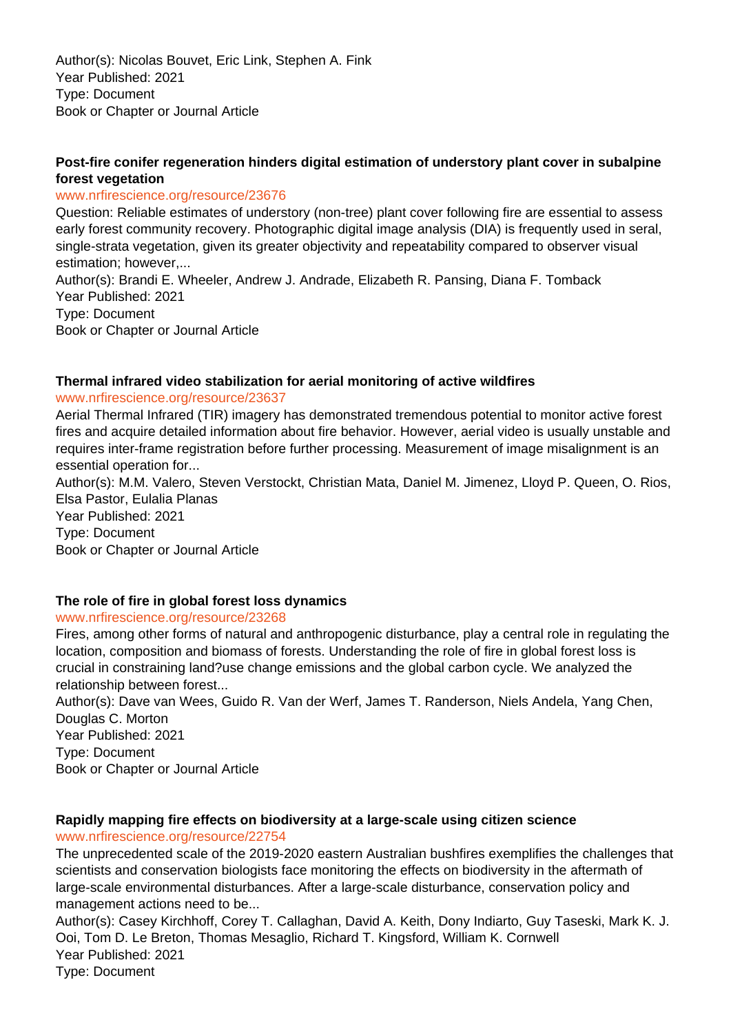Author(s): Nicolas Bouvet, Eric Link, Stephen A. Fink Year Published: 2021 Type: Document Book or Chapter or Journal Article

## **Post-fire conifer regeneration hinders digital estimation of understory plant cover in subalpine forest vegetation**

#### www.nrfirescience.org/resource/23676

Question: Reliable estimates of understory (non-tree) plant cover following fire are essential to assess early forest community recovery. Photographic digital image analysis (DIA) is frequently used in seral, single-strata vegetation, given its greater objectivity and repeatability compared to observer visual estimation; however,...

Author(s): Brandi E. Wheeler, Andrew J. Andrade, Elizabeth R. Pansing, Diana F. Tomback Year Published: 2021 Type: Document Book or Chapter or Journal Article

#### **Thermal infrared video stabilization for aerial monitoring of active wildfires**

#### www.nrfirescience.org/resource/23637

Aerial Thermal Infrared (TIR) imagery has demonstrated tremendous potential to monitor active forest fires and acquire detailed information about fire behavior. However, aerial video is usually unstable and requires inter-frame registration before further processing. Measurement of image misalignment is an essential operation for...

Author(s): M.M. Valero, Steven Verstockt, Christian Mata, Daniel M. Jimenez, Lloyd P. Queen, O. Rios, Elsa Pastor, Eulalia Planas

Year Published: 2021 Type: Document Book or Chapter or Journal Article

#### **The role of fire in global forest loss dynamics**

#### www.nrfirescience.org/resource/23268

Fires, among other forms of natural and anthropogenic disturbance, play a central role in regulating the location, composition and biomass of forests. Understanding the role of fire in global forest loss is crucial in constraining land?use change emissions and the global carbon cycle. We analyzed the relationship between forest...

Author(s): Dave van Wees, Guido R. Van der Werf, James T. Randerson, Niels Andela, Yang Chen, Douglas C. Morton

Year Published: 2021 Type: Document Book or Chapter or Journal Article

#### **Rapidly mapping fire effects on biodiversity at a large-scale using citizen science** www.nrfirescience.org/resource/22754

The unprecedented scale of the 2019-2020 eastern Australian bushfires exemplifies the challenges that scientists and conservation biologists face monitoring the effects on biodiversity in the aftermath of large-scale environmental disturbances. After a large-scale disturbance, conservation policy and management actions need to be...

Author(s): Casey Kirchhoff, Corey T. Callaghan, David A. Keith, Dony Indiarto, Guy Taseski, Mark K. J. Ooi, Tom D. Le Breton, Thomas Mesaglio, Richard T. Kingsford, William K. Cornwell Year Published: 2021 Type: Document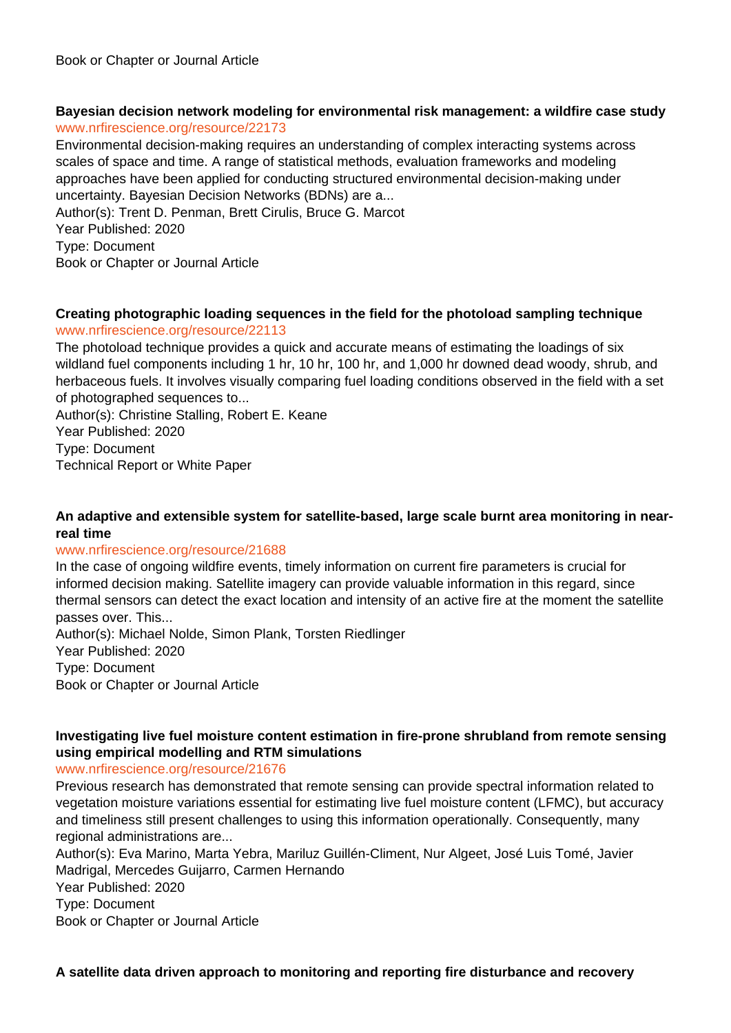#### **Bayesian decision network modeling for environmental risk management: a wildfire case study** www.nrfirescience.org/resource/22173

Environmental decision-making requires an understanding of complex interacting systems across scales of space and time. A range of statistical methods, evaluation frameworks and modeling approaches have been applied for conducting structured environmental decision-making under uncertainty. Bayesian Decision Networks (BDNs) are a...

Author(s): Trent D. Penman, Brett Cirulis, Bruce G. Marcot Year Published: 2020

Type: Document

Book or Chapter or Journal Article

#### **Creating photographic loading sequences in the field for the photoload sampling technique**

#### www.nrfirescience.org/resource/22113

The photoload technique provides a quick and accurate means of estimating the loadings of six wildland fuel components including 1 hr, 10 hr, 100 hr, and 1,000 hr downed dead woody, shrub, and herbaceous fuels. It involves visually comparing fuel loading conditions observed in the field with a set of photographed sequences to...

Author(s): Christine Stalling, Robert E. Keane Year Published: 2020 Type: Document Technical Report or White Paper

#### **An adaptive and extensible system for satellite-based, large scale burnt area monitoring in nearreal time**

#### www.nrfirescience.org/resource/21688

In the case of ongoing wildfire events, timely information on current fire parameters is crucial for informed decision making. Satellite imagery can provide valuable information in this regard, since thermal sensors can detect the exact location and intensity of an active fire at the moment the satellite passes over. This...

Author(s): Michael Nolde, Simon Plank, Torsten Riedlinger Year Published: 2020 Type: Document Book or Chapter or Journal Article

## **Investigating live fuel moisture content estimation in fire-prone shrubland from remote sensing using empirical modelling and RTM simulations**

#### www.nrfirescience.org/resource/21676

Previous research has demonstrated that remote sensing can provide spectral information related to vegetation moisture variations essential for estimating live fuel moisture content (LFMC), but accuracy and timeliness still present challenges to using this information operationally. Consequently, many regional administrations are...

Author(s): Eva Marino, Marta Yebra, Mariluz Guillén-Climent, Nur Algeet, José Luis Tomé, Javier Madrigal, Mercedes Guijarro, Carmen Hernando

Year Published: 2020 Type: Document

Book or Chapter or Journal Article

**A satellite data driven approach to monitoring and reporting fire disturbance and recovery**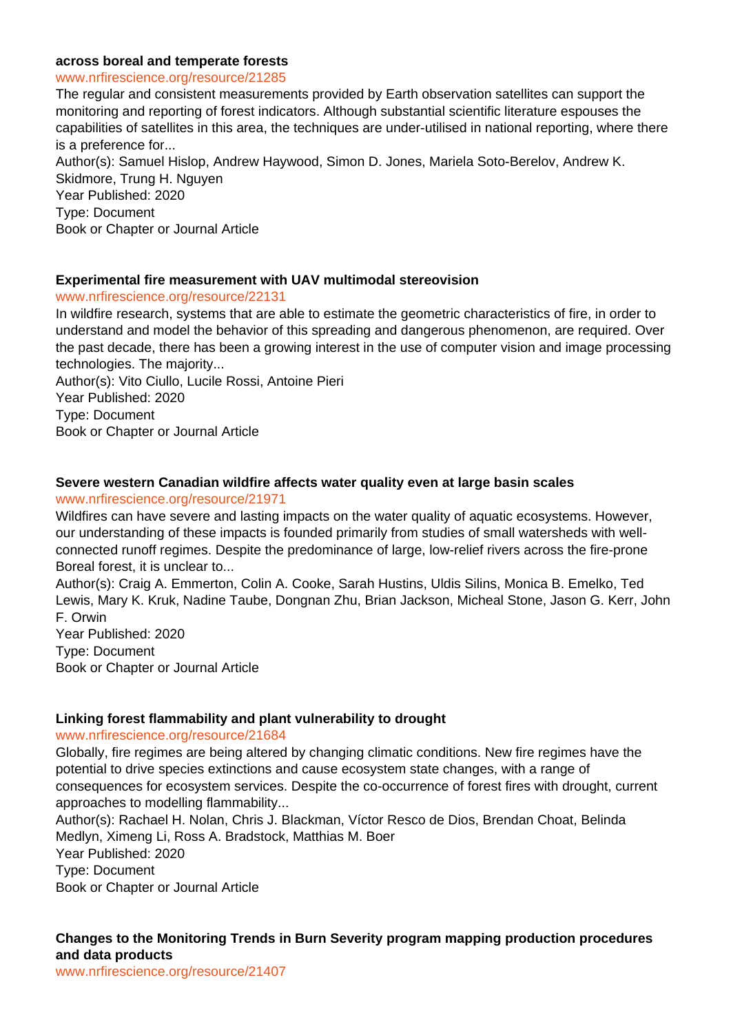#### **across boreal and temperate forests**

#### www.nrfirescience.org/resource/21285

The regular and consistent measurements provided by Earth observation satellites can support the monitoring and reporting of forest indicators. Although substantial scientific literature espouses the capabilities of satellites in this area, the techniques are under-utilised in national reporting, where there is a preference for...

Author(s): Samuel Hislop, Andrew Haywood, Simon D. Jones, Mariela Soto-Berelov, Andrew K. Skidmore, Trung H. Nguyen

Year Published: 2020 Type: Document Book or Chapter or Journal Article

#### **Experimental fire measurement with UAV multimodal stereovision**

www.nrfirescience.org/resource/22131

In wildfire research, systems that are able to estimate the geometric characteristics of fire, in order to understand and model the behavior of this spreading and dangerous phenomenon, are required. Over the past decade, there has been a growing interest in the use of computer vision and image processing technologies. The majority...

Author(s): Vito Ciullo, Lucile Rossi, Antoine Pieri Year Published: 2020 Type: Document Book or Chapter or Journal Article

#### **Severe western Canadian wildfire affects water quality even at large basin scales**

#### www.nrfirescience.org/resource/21971

Wildfires can have severe and lasting impacts on the water quality of aquatic ecosystems. However, our understanding of these impacts is founded primarily from studies of small watersheds with wellconnected runoff regimes. Despite the predominance of large, low-relief rivers across the fire-prone Boreal forest, it is unclear to...

Author(s): Craig A. Emmerton, Colin A. Cooke, Sarah Hustins, Uldis Silins, Monica B. Emelko, Ted Lewis, Mary K. Kruk, Nadine Taube, Dongnan Zhu, Brian Jackson, Micheal Stone, Jason G. Kerr, John F. Orwin

Year Published: 2020 Type: Document Book or Chapter or Journal Article

#### **Linking forest flammability and plant vulnerability to drought**

#### www.nrfirescience.org/resource/21684

Globally, fire regimes are being altered by changing climatic conditions. New fire regimes have the potential to drive species extinctions and cause ecosystem state changes, with a range of consequences for ecosystem services. Despite the co-occurrence of forest fires with drought, current approaches to modelling flammability...

Author(s): Rachael H. Nolan, Chris J. Blackman, Víctor Resco de Dios, Brendan Choat, Belinda Medlyn, Ximeng Li, Ross A. Bradstock, Matthias M. Boer

Year Published: 2020

Type: Document

Book or Chapter or Journal Article

## **Changes to the Monitoring Trends in Burn Severity program mapping production procedures and data products**

www.nrfirescience.org/resource/21407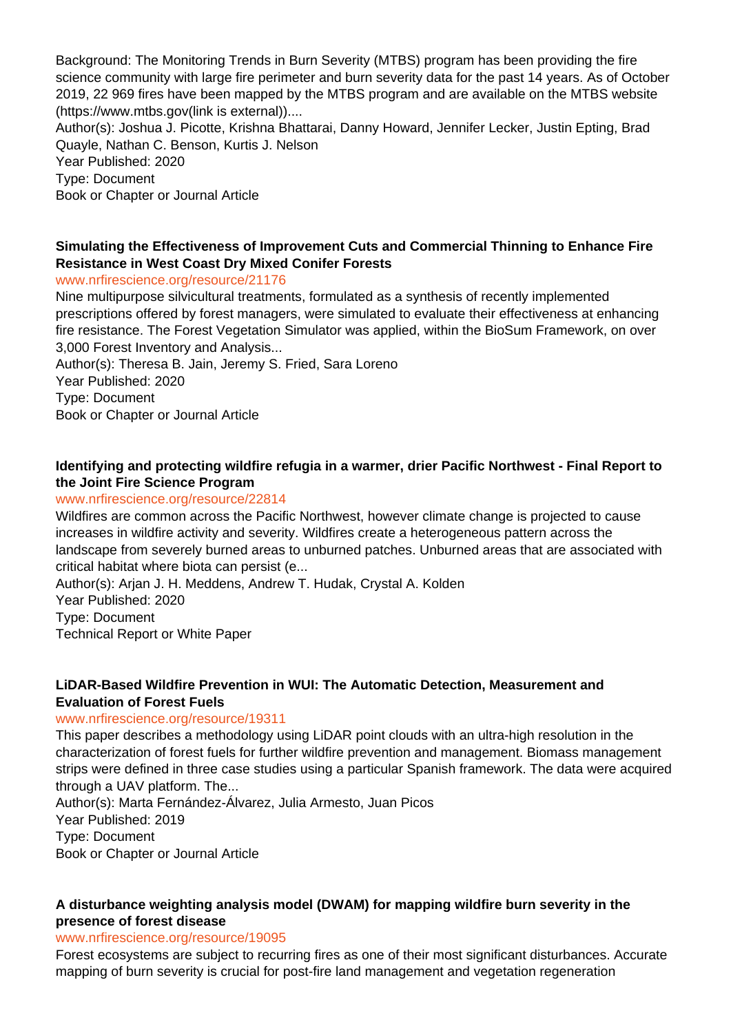Background: The Monitoring Trends in Burn Severity (MTBS) program has been providing the fire science community with large fire perimeter and burn severity data for the past 14 years. As of October 2019, 22 969 fires have been mapped by the MTBS program and are available on the MTBS website (https://www.mtbs.gov(link is external))....

Author(s): Joshua J. Picotte, Krishna Bhattarai, Danny Howard, Jennifer Lecker, Justin Epting, Brad Quayle, Nathan C. Benson, Kurtis J. Nelson

Year Published: 2020 Type: Document

Book or Chapter or Journal Article

## **Simulating the Effectiveness of Improvement Cuts and Commercial Thinning to Enhance Fire Resistance in West Coast Dry Mixed Conifer Forests**

## www.nrfirescience.org/resource/21176

Nine multipurpose silvicultural treatments, formulated as a synthesis of recently implemented prescriptions offered by forest managers, were simulated to evaluate their effectiveness at enhancing fire resistance. The Forest Vegetation Simulator was applied, within the BioSum Framework, on over 3,000 Forest Inventory and Analysis...

Author(s): Theresa B. Jain, Jeremy S. Fried, Sara Loreno Year Published: 2020 Type: Document Book or Chapter or Journal Article

## **Identifying and protecting wildfire refugia in a warmer, drier Pacific Northwest - Final Report to the Joint Fire Science Program**

## www.nrfirescience.org/resource/22814

Wildfires are common across the Pacific Northwest, however climate change is projected to cause increases in wildfire activity and severity. Wildfires create a heterogeneous pattern across the landscape from severely burned areas to unburned patches. Unburned areas that are associated with critical habitat where biota can persist (e...

Author(s): Arjan J. H. Meddens, Andrew T. Hudak, Crystal A. Kolden Year Published: 2020 Type: Document Technical Report or White Paper

#### **LiDAR-Based Wildfire Prevention in WUI: The Automatic Detection, Measurement and Evaluation of Forest Fuels**

#### www.nrfirescience.org/resource/19311

This paper describes a methodology using LiDAR point clouds with an ultra-high resolution in the characterization of forest fuels for further wildfire prevention and management. Biomass management strips were defined in three case studies using a particular Spanish framework. The data were acquired through a UAV platform. The...

Author(s): Marta Fernández-Álvarez, Julia Armesto, Juan Picos Year Published: 2019 Type: Document Book or Chapter or Journal Article

## **A disturbance weighting analysis model (DWAM) for mapping wildfire burn severity in the presence of forest disease**

#### www.nrfirescience.org/resource/19095

Forest ecosystems are subject to recurring fires as one of their most significant disturbances. Accurate mapping of burn severity is crucial for post-fire land management and vegetation regeneration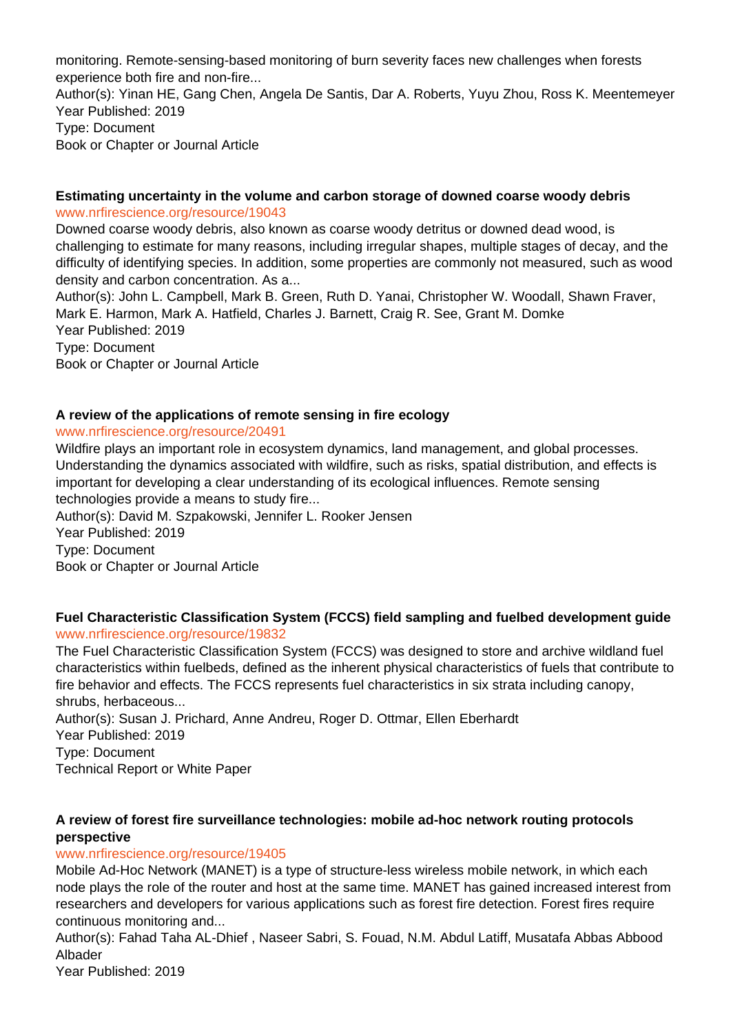monitoring. Remote-sensing-based monitoring of burn severity faces new challenges when forests experience both fire and non-fire... Author(s): Yinan HE, Gang Chen, Angela De Santis, Dar A. Roberts, Yuyu Zhou, Ross K. Meentemeyer Year Published: 2019 Type: Document Book or Chapter or Journal Article

#### **Estimating uncertainty in the volume and carbon storage of downed coarse woody debris** www.nrfirescience.org/resource/19043

Downed coarse woody debris, also known as coarse woody detritus or downed dead wood, is challenging to estimate for many reasons, including irregular shapes, multiple stages of decay, and the difficulty of identifying species. In addition, some properties are commonly not measured, such as wood density and carbon concentration. As a...

Author(s): John L. Campbell, Mark B. Green, Ruth D. Yanai, Christopher W. Woodall, Shawn Fraver, Mark E. Harmon, Mark A. Hatfield, Charles J. Barnett, Craig R. See, Grant M. Domke Year Published: 2019 Type: Document Book or Chapter or Journal Article

## **A review of the applications of remote sensing in fire ecology**

## www.nrfirescience.org/resource/20491

Wildfire plays an important role in ecosystem dynamics, land management, and global processes. Understanding the dynamics associated with wildfire, such as risks, spatial distribution, and effects is important for developing a clear understanding of its ecological influences. Remote sensing technologies provide a means to study fire...

Author(s): David M. Szpakowski, Jennifer L. Rooker Jensen Year Published: 2019 Type: Document Book or Chapter or Journal Article

#### **Fuel Characteristic Classification System (FCCS) field sampling and fuelbed development guide** www.nrfirescience.org/resource/19832

The Fuel Characteristic Classification System (FCCS) was designed to store and archive wildland fuel characteristics within fuelbeds, defined as the inherent physical characteristics of fuels that contribute to fire behavior and effects. The FCCS represents fuel characteristics in six strata including canopy, shrubs, herbaceous...

Author(s): Susan J. Prichard, Anne Andreu, Roger D. Ottmar, Ellen Eberhardt Year Published: 2019 Type: Document Technical Report or White Paper

## **A review of forest fire surveillance technologies: mobile ad-hoc network routing protocols perspective**

## www.nrfirescience.org/resource/19405

Mobile Ad-Hoc Network (MANET) is a type of structure-less wireless mobile network, in which each node plays the role of the router and host at the same time. MANET has gained increased interest from researchers and developers for various applications such as forest fire detection. Forest fires require continuous monitoring and...

Author(s): Fahad Taha AL-Dhief , Naseer Sabri, S. Fouad, N.M. Abdul Latiff, Musatafa Abbas Abbood Albader

Year Published: 2019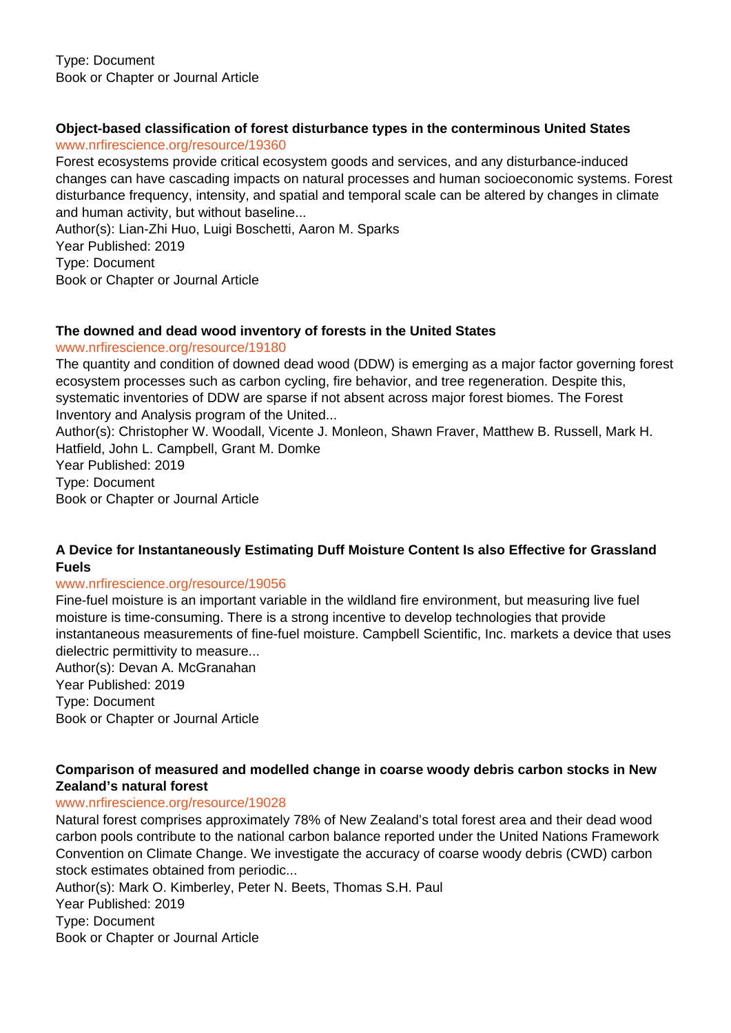## **Object-based classification of forest disturbance types in the conterminous United States**

#### www.nrfirescience.org/resource/19360

Forest ecosystems provide critical ecosystem goods and services, and any disturbance-induced changes can have cascading impacts on natural processes and human socioeconomic systems. Forest disturbance frequency, intensity, and spatial and temporal scale can be altered by changes in climate and human activity, but without baseline...

Author(s): Lian-Zhi Huo, Luigi Boschetti, Aaron M. Sparks Year Published: 2019 Type: Document Book or Chapter or Journal Article

## **The downed and dead wood inventory of forests in the United States**

#### www.nrfirescience.org/resource/19180

The quantity and condition of downed dead wood (DDW) is emerging as a major factor governing forest ecosystem processes such as carbon cycling, fire behavior, and tree regeneration. Despite this, systematic inventories of DDW are sparse if not absent across major forest biomes. The Forest Inventory and Analysis program of the United...

Author(s): Christopher W. Woodall, Vicente J. Monleon, Shawn Fraver, Matthew B. Russell, Mark H. Hatfield, John L. Campbell, Grant M. Domke

Year Published: 2019 Type: Document Book or Chapter or Journal Article

## **A Device for Instantaneously Estimating Duff Moisture Content Is also Effective for Grassland Fuels**

## www.nrfirescience.org/resource/19056

Fine-fuel moisture is an important variable in the wildland fire environment, but measuring live fuel moisture is time-consuming. There is a strong incentive to develop technologies that provide instantaneous measurements of fine-fuel moisture. Campbell Scientific, Inc. markets a device that uses dielectric permittivity to measure...

Author(s): Devan A. McGranahan Year Published: 2019 Type: Document Book or Chapter or Journal Article

## **Comparison of measured and modelled change in coarse woody debris carbon stocks in New Zealand's natural forest**

## www.nrfirescience.org/resource/19028

Natural forest comprises approximately 78% of New Zealand's total forest area and their dead wood carbon pools contribute to the national carbon balance reported under the United Nations Framework Convention on Climate Change. We investigate the accuracy of coarse woody debris (CWD) carbon stock estimates obtained from periodic...

Author(s): Mark O. Kimberley, Peter N. Beets, Thomas S.H. Paul Year Published: 2019 Type: Document Book or Chapter or Journal Article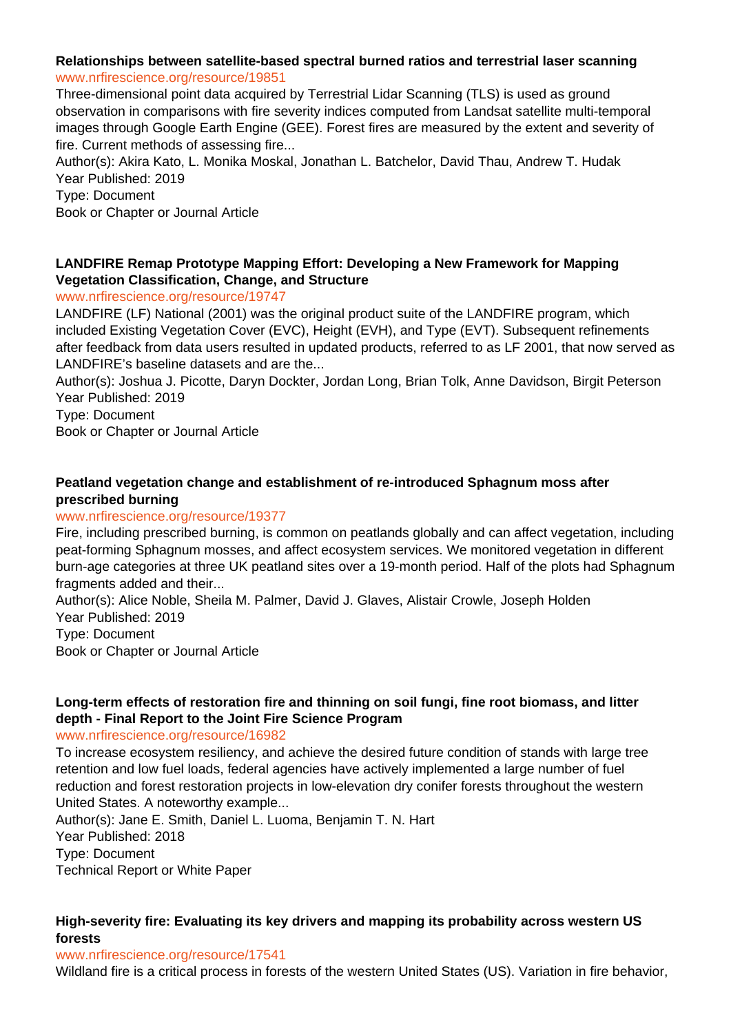#### **Relationships between satellite-based spectral burned ratios and terrestrial laser scanning** www.nrfirescience.org/resource/19851

Three-dimensional point data acquired by Terrestrial Lidar Scanning (TLS) is used as ground observation in comparisons with fire severity indices computed from Landsat satellite multi-temporal images through Google Earth Engine (GEE). Forest fires are measured by the extent and severity of fire. Current methods of assessing fire...

Author(s): Akira Kato, L. Monika Moskal, Jonathan L. Batchelor, David Thau, Andrew T. Hudak Year Published: 2019

Type: Document

Book or Chapter or Journal Article

## **LANDFIRE Remap Prototype Mapping Effort: Developing a New Framework for Mapping Vegetation Classification, Change, and Structure**

www.nrfirescience.org/resource/19747

LANDFIRE (LF) National (2001) was the original product suite of the LANDFIRE program, which included Existing Vegetation Cover (EVC), Height (EVH), and Type (EVT). Subsequent refinements after feedback from data users resulted in updated products, referred to as LF 2001, that now served as LANDFIRE's baseline datasets and are the...

Author(s): Joshua J. Picotte, Daryn Dockter, Jordan Long, Brian Tolk, Anne Davidson, Birgit Peterson Year Published: 2019

Type: Document

Book or Chapter or Journal Article

## **Peatland vegetation change and establishment of re-introduced Sphagnum moss after prescribed burning**

## www.nrfirescience.org/resource/19377

Fire, including prescribed burning, is common on peatlands globally and can affect vegetation, including peat-forming Sphagnum mosses, and affect ecosystem services. We monitored vegetation in different burn-age categories at three UK peatland sites over a 19-month period. Half of the plots had Sphagnum fragments added and their...

Author(s): Alice Noble, Sheila M. Palmer, David J. Glaves, Alistair Crowle, Joseph Holden Year Published: 2019

Type: Document Book or Chapter or Journal Article

## **Long-term effects of restoration fire and thinning on soil fungi, fine root biomass, and litter depth - Final Report to the Joint Fire Science Program**

www.nrfirescience.org/resource/16982

To increase ecosystem resiliency, and achieve the desired future condition of stands with large tree retention and low fuel loads, federal agencies have actively implemented a large number of fuel reduction and forest restoration projects in low-elevation dry conifer forests throughout the western United States. A noteworthy example...

Author(s): Jane E. Smith, Daniel L. Luoma, Benjamin T. N. Hart Year Published: 2018 Type: Document Technical Report or White Paper

## **High-severity fire: Evaluating its key drivers and mapping its probability across western US forests**

#### www.nrfirescience.org/resource/17541

Wildland fire is a critical process in forests of the western United States (US). Variation in fire behavior,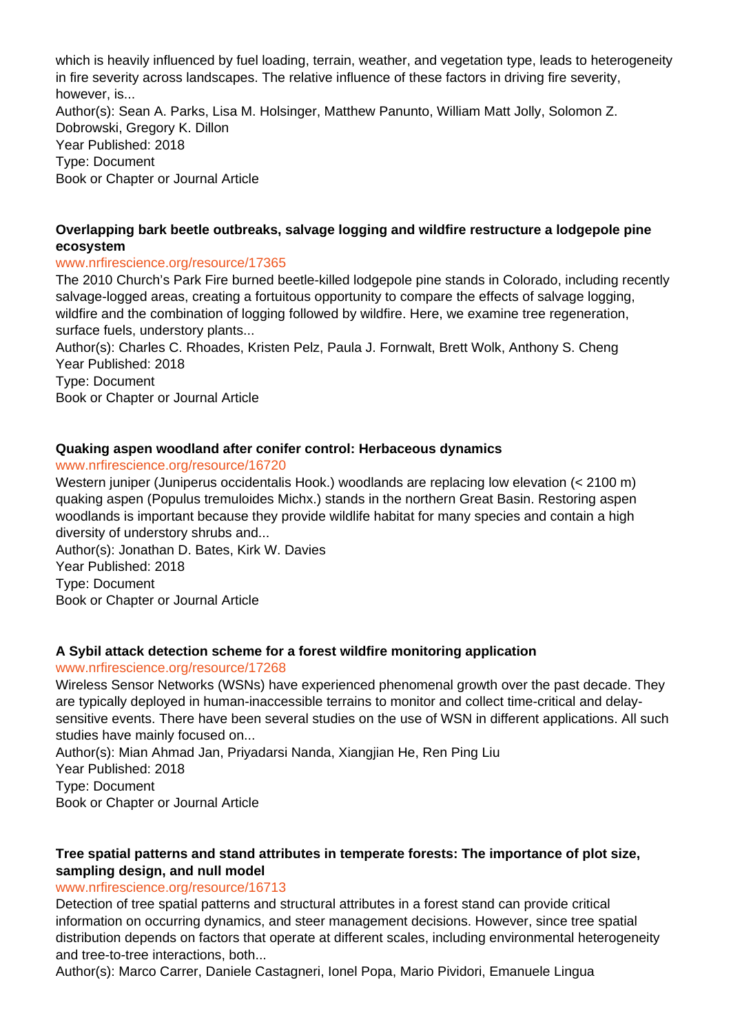which is heavily influenced by fuel loading, terrain, weather, and vegetation type, leads to heterogeneity in fire severity across landscapes. The relative influence of these factors in driving fire severity, however, is... Author(s): Sean A. Parks, Lisa M. Holsinger, Matthew Panunto, William Matt Jolly, Solomon Z. Dobrowski, Gregory K. Dillon Year Published: 2018 Type: Document Book or Chapter or Journal Article

## **Overlapping bark beetle outbreaks, salvage logging and wildfire restructure a lodgepole pine ecosystem**

#### www.nrfirescience.org/resource/17365

The 2010 Church's Park Fire burned beetle-killed lodgepole pine stands in Colorado, including recently salvage-logged areas, creating a fortuitous opportunity to compare the effects of salvage logging, wildfire and the combination of logging followed by wildfire. Here, we examine tree regeneration, surface fuels, understory plants...

Author(s): Charles C. Rhoades, Kristen Pelz, Paula J. Fornwalt, Brett Wolk, Anthony S. Cheng Year Published: 2018

Type: Document

Book or Chapter or Journal Article

## **Quaking aspen woodland after conifer control: Herbaceous dynamics**

www.nrfirescience.org/resource/16720

Western juniper (Juniperus occidentalis Hook.) woodlands are replacing low elevation (< 2100 m) quaking aspen (Populus tremuloides Michx.) stands in the northern Great Basin. Restoring aspen woodlands is important because they provide wildlife habitat for many species and contain a high diversity of understory shrubs and...

Author(s): Jonathan D. Bates, Kirk W. Davies Year Published: 2018 Type: Document Book or Chapter or Journal Article

## **A Sybil attack detection scheme for a forest wildfire monitoring application**

## www.nrfirescience.org/resource/17268

Wireless Sensor Networks (WSNs) have experienced phenomenal growth over the past decade. They are typically deployed in human-inaccessible terrains to monitor and collect time-critical and delaysensitive events. There have been several studies on the use of WSN in different applications. All such studies have mainly focused on...

Author(s): Mian Ahmad Jan, Priyadarsi Nanda, Xiangjian He, Ren Ping Liu

Year Published: 2018

Type: Document

Book or Chapter or Journal Article

## **Tree spatial patterns and stand attributes in temperate forests: The importance of plot size, sampling design, and null model**

#### www.nrfirescience.org/resource/16713

Detection of tree spatial patterns and structural attributes in a forest stand can provide critical information on occurring dynamics, and steer management decisions. However, since tree spatial distribution depends on factors that operate at different scales, including environmental heterogeneity and tree-to-tree interactions, both...

Author(s): Marco Carrer, Daniele Castagneri, Ionel Popa, Mario Pividori, Emanuele Lingua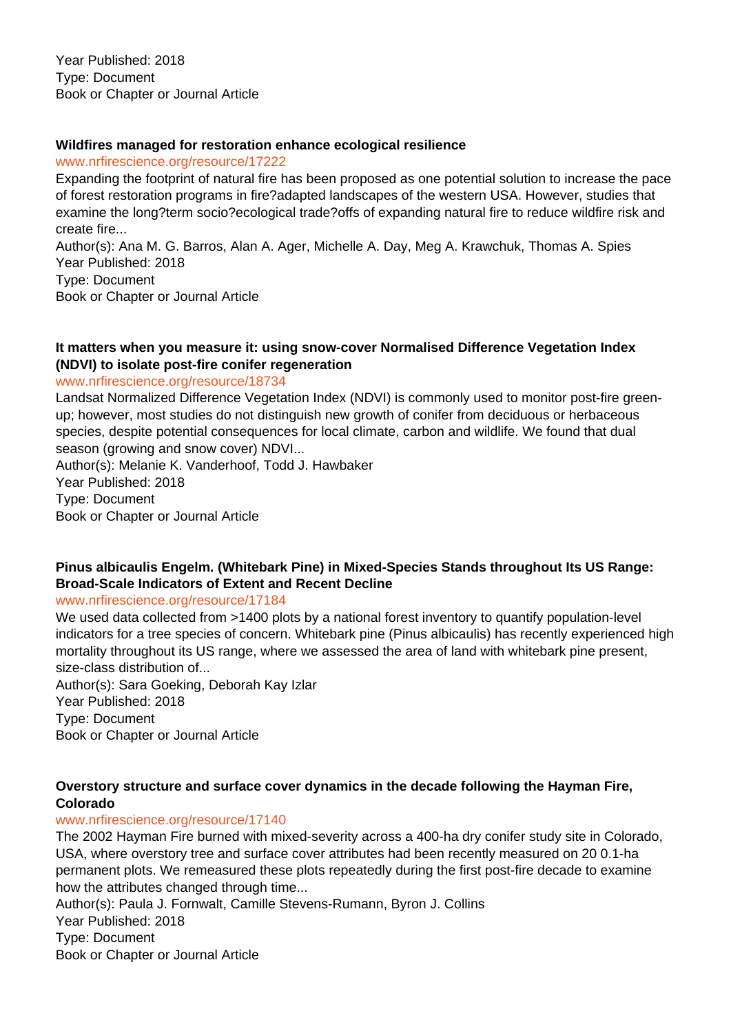## **Wildfires managed for restoration enhance ecological resilience**

www.nrfirescience.org/resource/17222

Expanding the footprint of natural fire has been proposed as one potential solution to increase the pace of forest restoration programs in fire?adapted landscapes of the western USA. However, studies that examine the long?term socio?ecological trade?offs of expanding natural fire to reduce wildfire risk and create fire...

Author(s): Ana M. G. Barros, Alan A. Ager, Michelle A. Day, Meg A. Krawchuk, Thomas A. Spies Year Published: 2018

Type: Document

Book or Chapter or Journal Article

## **It matters when you measure it: using snow-cover Normalised Difference Vegetation Index (NDVI) to isolate post-fire conifer regeneration**

www.nrfirescience.org/resource/18734

Landsat Normalized Difference Vegetation Index (NDVI) is commonly used to monitor post-fire greenup; however, most studies do not distinguish new growth of conifer from deciduous or herbaceous species, despite potential consequences for local climate, carbon and wildlife. We found that dual season (growing and snow cover) NDVI...

Author(s): Melanie K. Vanderhoof, Todd J. Hawbaker Year Published: 2018

Type: Document

Book or Chapter or Journal Article

## **Pinus albicaulis Engelm. (Whitebark Pine) in Mixed-Species Stands throughout Its US Range: Broad-Scale Indicators of Extent and Recent Decline**

#### www.nrfirescience.org/resource/17184

We used data collected from >1400 plots by a national forest inventory to quantify population-level indicators for a tree species of concern. Whitebark pine (Pinus albicaulis) has recently experienced high mortality throughout its US range, where we assessed the area of land with whitebark pine present, size-class distribution of...

Author(s): Sara Goeking, Deborah Kay Izlar Year Published: 2018 Type: Document Book or Chapter or Journal Article

## **Overstory structure and surface cover dynamics in the decade following the Hayman Fire, Colorado**

## www.nrfirescience.org/resource/17140

The 2002 Hayman Fire burned with mixed-severity across a 400-ha dry conifer study site in Colorado, USA, where overstory tree and surface cover attributes had been recently measured on 20 0.1-ha permanent plots. We remeasured these plots repeatedly during the first post-fire decade to examine how the attributes changed through time...

Author(s): Paula J. Fornwalt, Camille Stevens-Rumann, Byron J. Collins Year Published: 2018 Type: Document Book or Chapter or Journal Article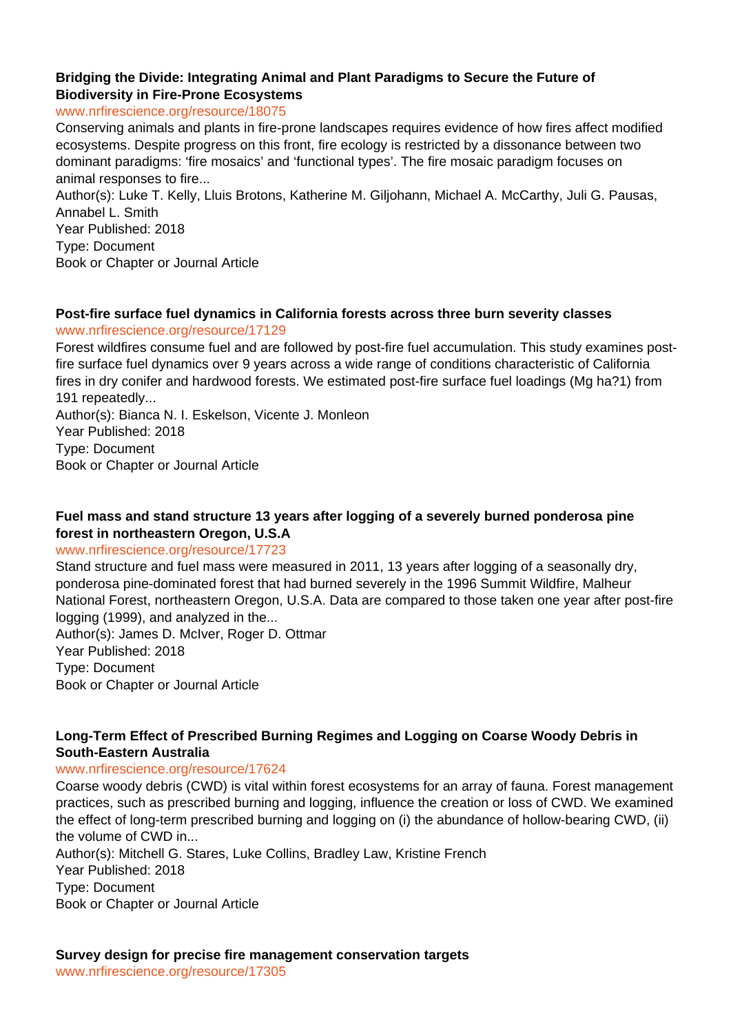## **Bridging the Divide: Integrating Animal and Plant Paradigms to Secure the Future of Biodiversity in Fire-Prone Ecosystems**

www.nrfirescience.org/resource/18075

Conserving animals and plants in fire-prone landscapes requires evidence of how fires affect modified ecosystems. Despite progress on this front, fire ecology is restricted by a dissonance between two dominant paradigms: 'fire mosaics' and 'functional types'. The fire mosaic paradigm focuses on animal responses to fire...

Author(s): Luke T. Kelly, Lluis Brotons, Katherine M. Giljohann, Michael A. McCarthy, Juli G. Pausas, Annabel L. Smith

Year Published: 2018 Type: Document Book or Chapter or Journal Article

#### **Post-fire surface fuel dynamics in California forests across three burn severity classes**

#### www.nrfirescience.org/resource/17129

Forest wildfires consume fuel and are followed by post-fire fuel accumulation. This study examines postfire surface fuel dynamics over 9 years across a wide range of conditions characteristic of California fires in dry conifer and hardwood forests. We estimated post-fire surface fuel loadings (Mg ha?1) from 191 repeatedly...

Author(s): Bianca N. I. Eskelson, Vicente J. Monleon Year Published: 2018 Type: Document Book or Chapter or Journal Article

## **Fuel mass and stand structure 13 years after logging of a severely burned ponderosa pine forest in northeastern Oregon, U.S.A**

#### www.nrfirescience.org/resource/17723

Stand structure and fuel mass were measured in 2011, 13 years after logging of a seasonally dry, ponderosa pine-dominated forest that had burned severely in the 1996 Summit Wildfire, Malheur National Forest, northeastern Oregon, U.S.A. Data are compared to those taken one year after post-fire logging (1999), and analyzed in the...

Author(s): James D. McIver, Roger D. Ottmar Year Published: 2018 Type: Document Book or Chapter or Journal Article

#### **Long-Term Effect of Prescribed Burning Regimes and Logging on Coarse Woody Debris in South-Eastern Australia**

#### www.nrfirescience.org/resource/17624

Coarse woody debris (CWD) is vital within forest ecosystems for an array of fauna. Forest management practices, such as prescribed burning and logging, influence the creation or loss of CWD. We examined the effect of long-term prescribed burning and logging on (i) the abundance of hollow-bearing CWD, (ii) the volume of CWD in...

Author(s): Mitchell G. Stares, Luke Collins, Bradley Law, Kristine French Year Published: 2018

Type: Document

Book or Chapter or Journal Article

**Survey design for precise fire management conservation targets**

www.nrfirescience.org/resource/17305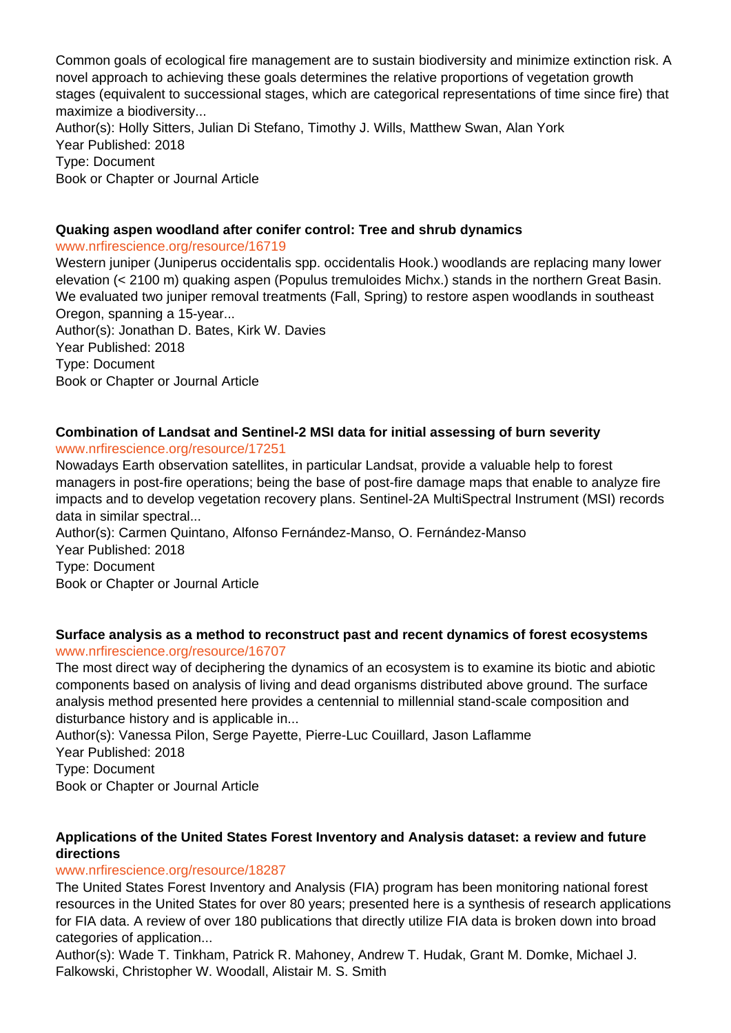Common goals of ecological fire management are to sustain biodiversity and minimize extinction risk. A novel approach to achieving these goals determines the relative proportions of vegetation growth stages (equivalent to successional stages, which are categorical representations of time since fire) that maximize a biodiversity... Author(s): Holly Sitters, Julian Di Stefano, Timothy J. Wills, Matthew Swan, Alan York

Year Published: 2018 Type: Document Book or Chapter or Journal Article

## **Quaking aspen woodland after conifer control: Tree and shrub dynamics**

#### www.nrfirescience.org/resource/16719

Western juniper (Juniperus occidentalis spp. occidentalis Hook.) woodlands are replacing many lower elevation (< 2100 m) quaking aspen (Populus tremuloides Michx.) stands in the northern Great Basin. We evaluated two juniper removal treatments (Fall, Spring) to restore aspen woodlands in southeast Oregon, spanning a 15-year... Author(s): Jonathan D. Bates, Kirk W. Davies

Year Published: 2018 Type: Document Book or Chapter or Journal Article

#### **Combination of Landsat and Sentinel-2 MSI data for initial assessing of burn severity** www.nrfirescience.org/resource/17251

Nowadays Earth observation satellites, in particular Landsat, provide a valuable help to forest managers in post-fire operations; being the base of post-fire damage maps that enable to analyze fire impacts and to develop vegetation recovery plans. Sentinel-2A MultiSpectral Instrument (MSI) records data in similar spectral...

Author(s): Carmen Quintano, Alfonso Fernández-Manso, O. Fernández-Manso Year Published: 2018 Type: Document Book or Chapter or Journal Article

#### **Surface analysis as a method to reconstruct past and recent dynamics of forest ecosystems** www.nrfirescience.org/resource/16707

The most direct way of deciphering the dynamics of an ecosystem is to examine its biotic and abiotic components based on analysis of living and dead organisms distributed above ground. The surface analysis method presented here provides a centennial to millennial stand-scale composition and disturbance history and is applicable in...

Author(s): Vanessa Pilon, Serge Payette, Pierre-Luc Couillard, Jason Laflamme

Year Published: 2018

Type: Document

Book or Chapter or Journal Article

## **Applications of the United States Forest Inventory and Analysis dataset: a review and future directions**

## www.nrfirescience.org/resource/18287

The United States Forest Inventory and Analysis (FIA) program has been monitoring national forest resources in the United States for over 80 years; presented here is a synthesis of research applications for FIA data. A review of over 180 publications that directly utilize FIA data is broken down into broad categories of application...

Author(s): Wade T. Tinkham, Patrick R. Mahoney, Andrew T. Hudak, Grant M. Domke, Michael J. Falkowski, Christopher W. Woodall, Alistair M. S. Smith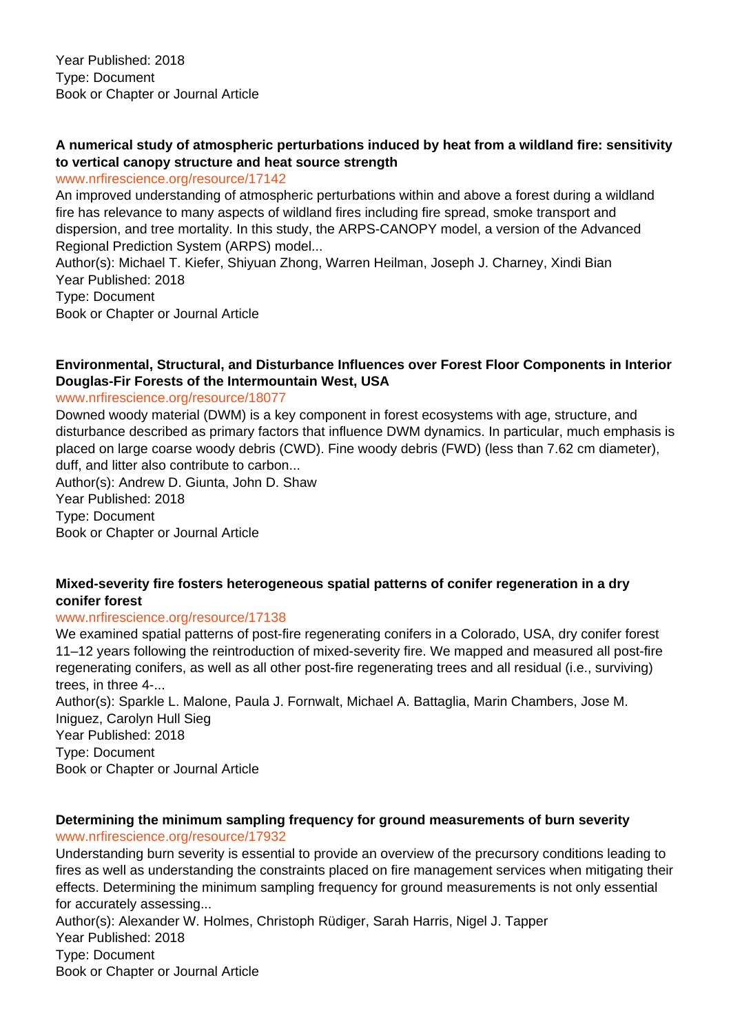## **A numerical study of atmospheric perturbations induced by heat from a wildland fire: sensitivity to vertical canopy structure and heat source strength**

#### www.nrfirescience.org/resource/17142

An improved understanding of atmospheric perturbations within and above a forest during a wildland fire has relevance to many aspects of wildland fires including fire spread, smoke transport and dispersion, and tree mortality. In this study, the ARPS-CANOPY model, a version of the Advanced Regional Prediction System (ARPS) model...

Author(s): Michael T. Kiefer, Shiyuan Zhong, Warren Heilman, Joseph J. Charney, Xindi Bian Year Published: 2018 Type: Document

Book or Chapter or Journal Article

## **Environmental, Structural, and Disturbance Influences over Forest Floor Components in Interior Douglas-Fir Forests of the Intermountain West, USA**

www.nrfirescience.org/resource/18077

Downed woody material (DWM) is a key component in forest ecosystems with age, structure, and disturbance described as primary factors that influence DWM dynamics. In particular, much emphasis is placed on large coarse woody debris (CWD). Fine woody debris (FWD) (less than 7.62 cm diameter), duff, and litter also contribute to carbon...

Author(s): Andrew D. Giunta, John D. Shaw Year Published: 2018 Type: Document Book or Chapter or Journal Article

## **Mixed-severity fire fosters heterogeneous spatial patterns of conifer regeneration in a dry conifer forest**

#### www.nrfirescience.org/resource/17138

We examined spatial patterns of post-fire regenerating conifers in a Colorado, USA, dry conifer forest 11–12 years following the reintroduction of mixed-severity fire. We mapped and measured all post-fire regenerating conifers, as well as all other post-fire regenerating trees and all residual (i.e., surviving) trees, in three 4-...

Author(s): Sparkle L. Malone, Paula J. Fornwalt, Michael A. Battaglia, Marin Chambers, Jose M. Iniguez, Carolyn Hull Sieg Year Published: 2018 Type: Document Book or Chapter or Journal Article

## **Determining the minimum sampling frequency for ground measurements of burn severity** www.nrfirescience.org/resource/17932

Understanding burn severity is essential to provide an overview of the precursory conditions leading to fires as well as understanding the constraints placed on fire management services when mitigating their effects. Determining the minimum sampling frequency for ground measurements is not only essential for accurately assessing...

Author(s): Alexander W. Holmes, Christoph Rüdiger, Sarah Harris, Nigel J. Tapper Year Published: 2018 Type: Document Book or Chapter or Journal Article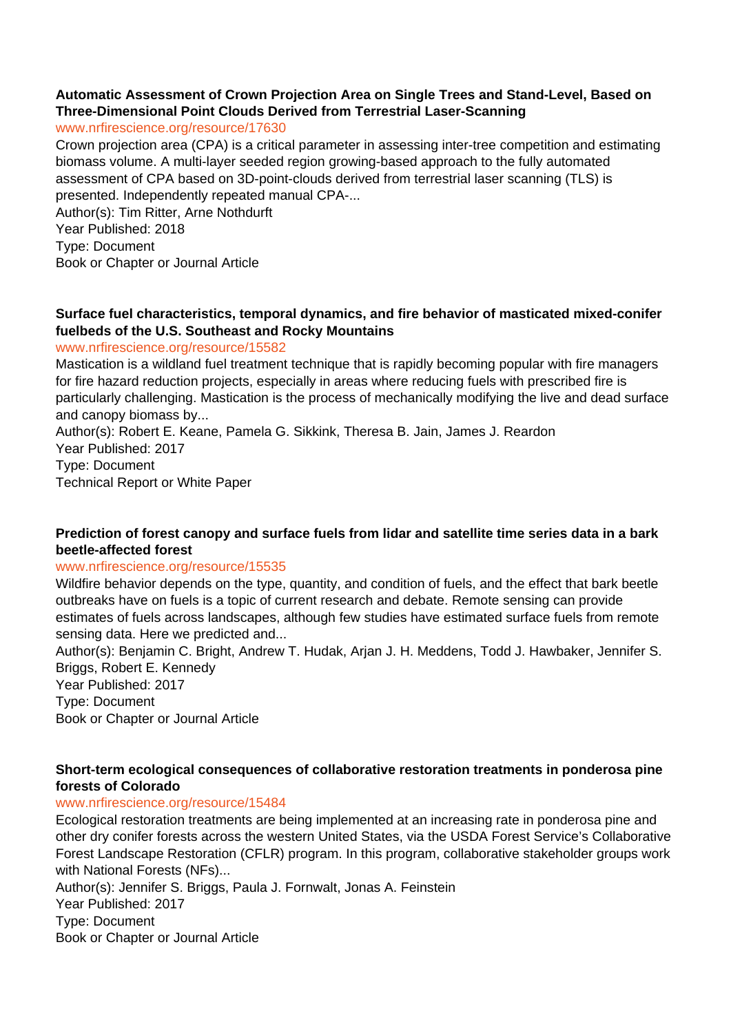#### **Automatic Assessment of Crown Projection Area on Single Trees and Stand-Level, Based on Three-Dimensional Point Clouds Derived from Terrestrial Laser-Scanning**

#### www.nrfirescience.org/resource/17630

Crown projection area (CPA) is a critical parameter in assessing inter-tree competition and estimating biomass volume. A multi-layer seeded region growing-based approach to the fully automated assessment of CPA based on 3D-point-clouds derived from terrestrial laser scanning (TLS) is presented. Independently repeated manual CPA-...

Author(s): Tim Ritter, Arne Nothdurft Year Published: 2018 Type: Document Book or Chapter or Journal Article

## **Surface fuel characteristics, temporal dynamics, and fire behavior of masticated mixed-conifer fuelbeds of the U.S. Southeast and Rocky Mountains**

#### www.nrfirescience.org/resource/15582

Mastication is a wildland fuel treatment technique that is rapidly becoming popular with fire managers for fire hazard reduction projects, especially in areas where reducing fuels with prescribed fire is particularly challenging. Mastication is the process of mechanically modifying the live and dead surface and canopy biomass by...

Author(s): Robert E. Keane, Pamela G. Sikkink, Theresa B. Jain, James J. Reardon Year Published: 2017 Type: Document Technical Report or White Paper

## **Prediction of forest canopy and surface fuels from lidar and satellite time series data in a bark beetle-affected forest**

#### www.nrfirescience.org/resource/15535

Wildfire behavior depends on the type, quantity, and condition of fuels, and the effect that bark beetle outbreaks have on fuels is a topic of current research and debate. Remote sensing can provide estimates of fuels across landscapes, although few studies have estimated surface fuels from remote sensing data. Here we predicted and...

Author(s): Benjamin C. Bright, Andrew T. Hudak, Arjan J. H. Meddens, Todd J. Hawbaker, Jennifer S. Briggs, Robert E. Kennedy

Year Published: 2017 Type: Document Book or Chapter or Journal Article

#### **Short-term ecological consequences of collaborative restoration treatments in ponderosa pine forests of Colorado**

## www.nrfirescience.org/resource/15484

Ecological restoration treatments are being implemented at an increasing rate in ponderosa pine and other dry conifer forests across the western United States, via the USDA Forest Service's Collaborative Forest Landscape Restoration (CFLR) program. In this program, collaborative stakeholder groups work with National Forests (NFs)...

Author(s): Jennifer S. Briggs, Paula J. Fornwalt, Jonas A. Feinstein Year Published: 2017 Type: Document Book or Chapter or Journal Article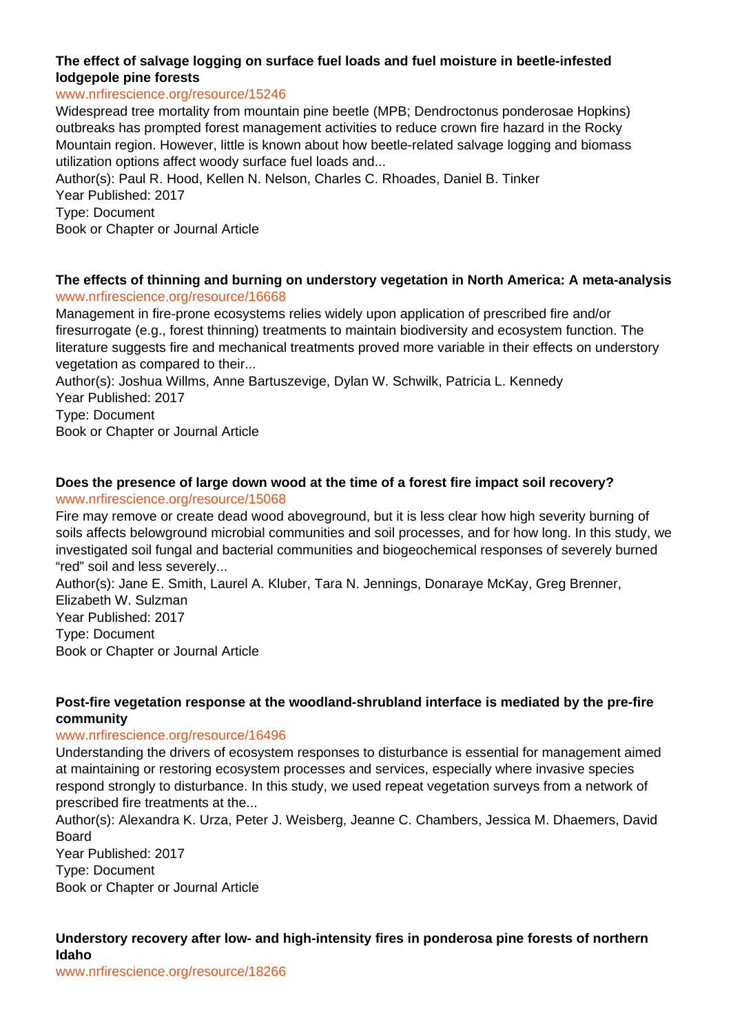## **The effect of salvage logging on surface fuel loads and fuel moisture in beetle-infested lodgepole pine forests**

#### www.nrfirescience.org/resource/15246

Widespread tree mortality from mountain pine beetle (MPB; Dendroctonus ponderosae Hopkins) outbreaks has prompted forest management activities to reduce crown fire hazard in the Rocky Mountain region. However, little is known about how beetle-related salvage logging and biomass utilization options affect woody surface fuel loads and...

Author(s): Paul R. Hood, Kellen N. Nelson, Charles C. Rhoades, Daniel B. Tinker Year Published: 2017

Type: Document

Book or Chapter or Journal Article

#### **The effects of thinning and burning on understory vegetation in North America: A meta-analysis** www.nrfirescience.org/resource/16668

Management in fire-prone ecosystems relies widely upon application of prescribed fire and/or firesurrogate (e.g., forest thinning) treatments to maintain biodiversity and ecosystem function. The literature suggests fire and mechanical treatments proved more variable in their effects on understory vegetation as compared to their...

Author(s): Joshua Willms, Anne Bartuszevige, Dylan W. Schwilk, Patricia L. Kennedy Year Published: 2017

Type: Document

Book or Chapter or Journal Article

# **Does the presence of large down wood at the time of a forest fire impact soil recovery?**

#### www.nrfirescience.org/resource/15068

Fire may remove or create dead wood aboveground, but it is less clear how high severity burning of soils affects belowground microbial communities and soil processes, and for how long. In this study, we investigated soil fungal and bacterial communities and biogeochemical responses of severely burned "red" soil and less severely...

Author(s): Jane E. Smith, Laurel A. Kluber, Tara N. Jennings, Donaraye McKay, Greg Brenner, Elizabeth W. Sulzman Year Published: 2017 Type: Document

Book or Chapter or Journal Article

## **Post-fire vegetation response at the woodland-shrubland interface is mediated by the pre-fire community**

#### www.nrfirescience.org/resource/16496

Understanding the drivers of ecosystem responses to disturbance is essential for management aimed at maintaining or restoring ecosystem processes and services, especially where invasive species respond strongly to disturbance. In this study, we used repeat vegetation surveys from a network of prescribed fire treatments at the...

Author(s): Alexandra K. Urza, Peter J. Weisberg, Jeanne C. Chambers, Jessica M. Dhaemers, David Board

Year Published: 2017 Type: Document Book or Chapter or Journal Article

## **Understory recovery after low- and high-intensity fires in ponderosa pine forests of northern Idaho**

www.nrfirescience.org/resource/18266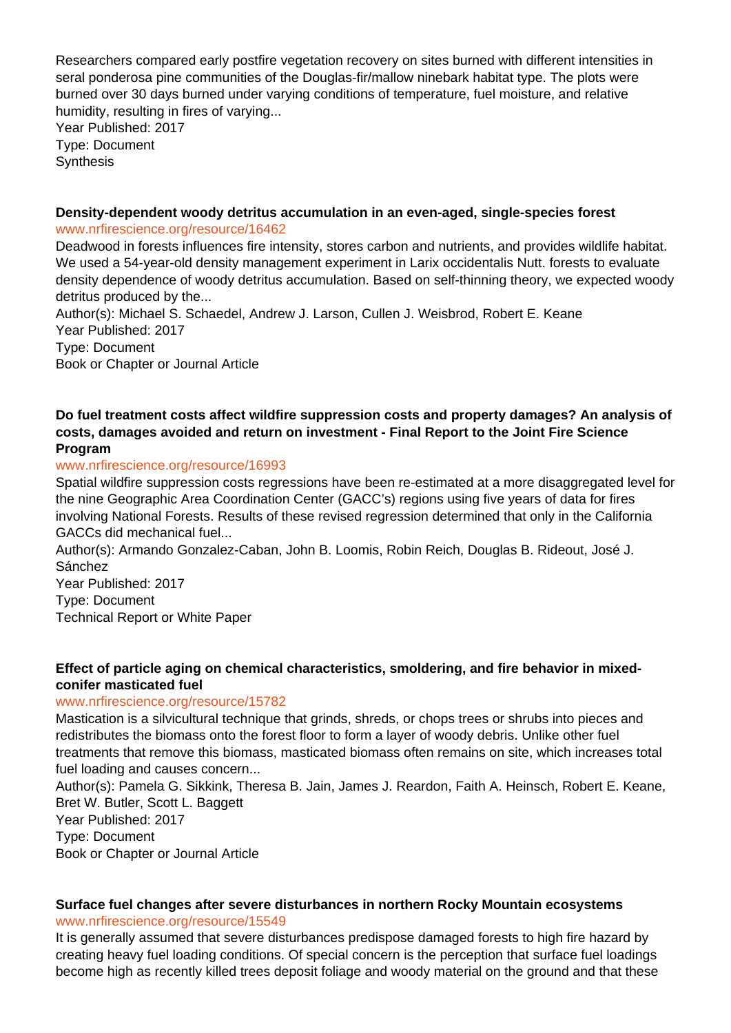Researchers compared early postfire vegetation recovery on sites burned with different intensities in seral ponderosa pine communities of the Douglas-fir/mallow ninebark habitat type. The plots were burned over 30 days burned under varying conditions of temperature, fuel moisture, and relative humidity, resulting in fires of varying...

Year Published: 2017 Type: Document **Synthesis** 

# **Density-dependent woody detritus accumulation in an even-aged, single-species forest**

www.nrfirescience.org/resource/16462

Deadwood in forests influences fire intensity, stores carbon and nutrients, and provides wildlife habitat. We used a 54-year-old density management experiment in Larix occidentalis Nutt. forests to evaluate density dependence of woody detritus accumulation. Based on self-thinning theory, we expected woody detritus produced by the...

Author(s): Michael S. Schaedel, Andrew J. Larson, Cullen J. Weisbrod, Robert E. Keane Year Published: 2017 Type: Document Book or Chapter or Journal Article

## **Do fuel treatment costs affect wildfire suppression costs and property damages? An analysis of costs, damages avoided and return on investment - Final Report to the Joint Fire Science Program**

## www.nrfirescience.org/resource/16993

Spatial wildfire suppression costs regressions have been re-estimated at a more disaggregated level for the nine Geographic Area Coordination Center (GACC's) regions using five years of data for fires involving National Forests. Results of these revised regression determined that only in the California GACCs did mechanical fuel...

Author(s): Armando Gonzalez-Caban, John B. Loomis, Robin Reich, Douglas B. Rideout, José J. Sánchez

Year Published: 2017 Type: Document Technical Report or White Paper

## **Effect of particle aging on chemical characteristics, smoldering, and fire behavior in mixedconifer masticated fuel**

## www.nrfirescience.org/resource/15782

Mastication is a silvicultural technique that grinds, shreds, or chops trees or shrubs into pieces and redistributes the biomass onto the forest floor to form a layer of woody debris. Unlike other fuel treatments that remove this biomass, masticated biomass often remains on site, which increases total fuel loading and causes concern...

Author(s): Pamela G. Sikkink, Theresa B. Jain, James J. Reardon, Faith A. Heinsch, Robert E. Keane, Bret W. Butler, Scott L. Baggett Year Published: 2017

Type: Document

Book or Chapter or Journal Article

# **Surface fuel changes after severe disturbances in northern Rocky Mountain ecosystems**

www.nrfirescience.org/resource/15549

It is generally assumed that severe disturbances predispose damaged forests to high fire hazard by creating heavy fuel loading conditions. Of special concern is the perception that surface fuel loadings become high as recently killed trees deposit foliage and woody material on the ground and that these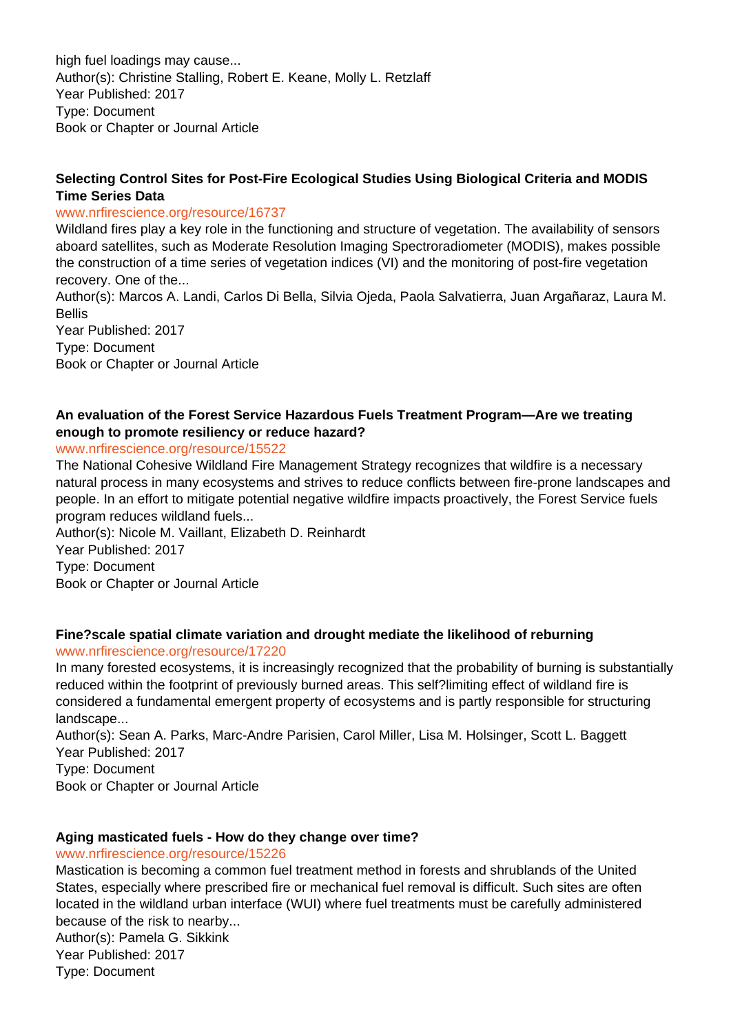high fuel loadings may cause... Author(s): Christine Stalling, Robert E. Keane, Molly L. Retzlaff Year Published: 2017 Type: Document Book or Chapter or Journal Article

## **Selecting Control Sites for Post-Fire Ecological Studies Using Biological Criteria and MODIS Time Series Data**

#### www.nrfirescience.org/resource/16737

Wildland fires play a key role in the functioning and structure of vegetation. The availability of sensors aboard satellites, such as Moderate Resolution Imaging Spectroradiometer (MODIS), makes possible the construction of a time series of vegetation indices (VI) and the monitoring of post-fire vegetation recovery. One of the...

Author(s): Marcos A. Landi, Carlos Di Bella, Silvia Ojeda, Paola Salvatierra, Juan Argañaraz, Laura M. **Bellis** 

Year Published: 2017 Type: Document Book or Chapter or Journal Article

## **An evaluation of the Forest Service Hazardous Fuels Treatment Program—Are we treating enough to promote resiliency or reduce hazard?**

#### www.nrfirescience.org/resource/15522

The National Cohesive Wildland Fire Management Strategy recognizes that wildfire is a necessary natural process in many ecosystems and strives to reduce conflicts between fire-prone landscapes and people. In an effort to mitigate potential negative wildfire impacts proactively, the Forest Service fuels program reduces wildland fuels...

Author(s): Nicole M. Vaillant, Elizabeth D. Reinhardt Year Published: 2017 Type: Document Book or Chapter or Journal Article

## **Fine?scale spatial climate variation and drought mediate the likelihood of reburning**

#### www.nrfirescience.org/resource/17220

In many forested ecosystems, it is increasingly recognized that the probability of burning is substantially reduced within the footprint of previously burned areas. This self?limiting effect of wildland fire is considered a fundamental emergent property of ecosystems and is partly responsible for structuring landscape...

Author(s): Sean A. Parks, Marc-Andre Parisien, Carol Miller, Lisa M. Holsinger, Scott L. Baggett Year Published: 2017

Type: Document

Book or Chapter or Journal Article

## **Aging masticated fuels - How do they change over time?**

www.nrfirescience.org/resource/15226

Mastication is becoming a common fuel treatment method in forests and shrublands of the United States, especially where prescribed fire or mechanical fuel removal is difficult. Such sites are often located in the wildland urban interface (WUI) where fuel treatments must be carefully administered because of the risk to nearby... Author(s): Pamela G. Sikkink Year Published: 2017

Type: Document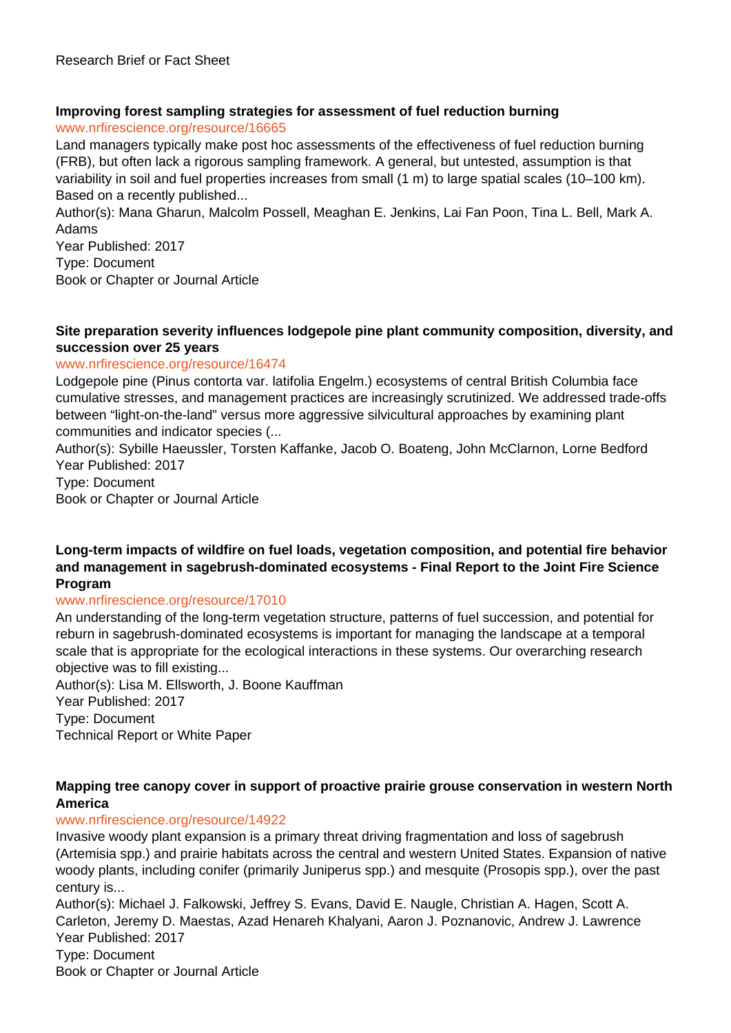#### **Improving forest sampling strategies for assessment of fuel reduction burning** www.nrfirescience.org/resource/16665

Land managers typically make post hoc assessments of the effectiveness of fuel reduction burning (FRB), but often lack a rigorous sampling framework. A general, but untested, assumption is that variability in soil and fuel properties increases from small (1 m) to large spatial scales (10–100 km). Based on a recently published...

Author(s): Mana Gharun, Malcolm Possell, Meaghan E. Jenkins, Lai Fan Poon, Tina L. Bell, Mark A. Adams

Year Published: 2017 Type: Document Book or Chapter or Journal Article

#### **Site preparation severity influences lodgepole pine plant community composition, diversity, and succession over 25 years**

#### www.nrfirescience.org/resource/16474

Lodgepole pine (Pinus contorta var. latifolia Engelm.) ecosystems of central British Columbia face cumulative stresses, and management practices are increasingly scrutinized. We addressed trade-offs between "light-on-the-land" versus more aggressive silvicultural approaches by examining plant communities and indicator species (...

Author(s): Sybille Haeussler, Torsten Kaffanke, Jacob O. Boateng, John McClarnon, Lorne Bedford Year Published: 2017

Type: Document

Book or Chapter or Journal Article

**Long-term impacts of wildfire on fuel loads, vegetation composition, and potential fire behavior and management in sagebrush-dominated ecosystems - Final Report to the Joint Fire Science Program**

#### www.nrfirescience.org/resource/17010

An understanding of the long-term vegetation structure, patterns of fuel succession, and potential for reburn in sagebrush-dominated ecosystems is important for managing the landscape at a temporal scale that is appropriate for the ecological interactions in these systems. Our overarching research objective was to fill existing...

Author(s): Lisa M. Ellsworth, J. Boone Kauffman Year Published: 2017 Type: Document Technical Report or White Paper

## **Mapping tree canopy cover in support of proactive prairie grouse conservation in western North America**

## www.nrfirescience.org/resource/14922

Invasive woody plant expansion is a primary threat driving fragmentation and loss of sagebrush (Artemisia spp.) and prairie habitats across the central and western United States. Expansion of native woody plants, including conifer (primarily Juniperus spp.) and mesquite (Prosopis spp.), over the past century is...

Author(s): Michael J. Falkowski, Jeffrey S. Evans, David E. Naugle, Christian A. Hagen, Scott A. Carleton, Jeremy D. Maestas, Azad Henareh Khalyani, Aaron J. Poznanovic, Andrew J. Lawrence Year Published: 2017 Type: Document Book or Chapter or Journal Article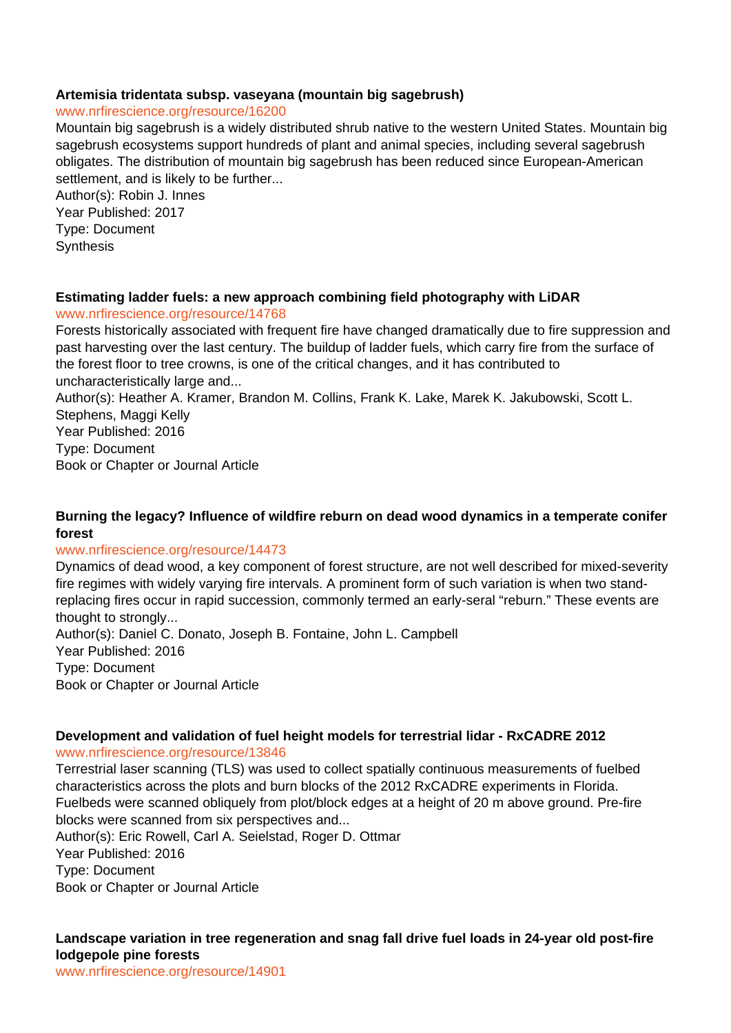#### **Artemisia tridentata subsp. vaseyana (mountain big sagebrush)**

#### www.nrfirescience.org/resource/16200

Mountain big sagebrush is a widely distributed shrub native to the western United States. Mountain big sagebrush ecosystems support hundreds of plant and animal species, including several sagebrush obligates. The distribution of mountain big sagebrush has been reduced since European-American settlement, and is likely to be further...

Author(s): Robin J. Innes Year Published: 2017 Type: Document **Synthesis** 

## **Estimating ladder fuels: a new approach combining field photography with LiDAR**

#### www.nrfirescience.org/resource/14768

Forests historically associated with frequent fire have changed dramatically due to fire suppression and past harvesting over the last century. The buildup of ladder fuels, which carry fire from the surface of the forest floor to tree crowns, is one of the critical changes, and it has contributed to uncharacteristically large and...

Author(s): Heather A. Kramer, Brandon M. Collins, Frank K. Lake, Marek K. Jakubowski, Scott L. Stephens, Maggi Kelly Year Published: 2016

Type: Document

Book or Chapter or Journal Article

## **Burning the legacy? Influence of wildfire reburn on dead wood dynamics in a temperate conifer forest**

## www.nrfirescience.org/resource/14473

Dynamics of dead wood, a key component of forest structure, are not well described for mixed-severity fire regimes with widely varying fire intervals. A prominent form of such variation is when two standreplacing fires occur in rapid succession, commonly termed an early-seral "reburn." These events are thought to strongly...

Author(s): Daniel C. Donato, Joseph B. Fontaine, John L. Campbell Year Published: 2016 Type: Document Book or Chapter or Journal Article

#### **Development and validation of fuel height models for terrestrial lidar - RxCADRE 2012** www.nrfirescience.org/resource/13846

Terrestrial laser scanning (TLS) was used to collect spatially continuous measurements of fuelbed characteristics across the plots and burn blocks of the 2012 RxCADRE experiments in Florida. Fuelbeds were scanned obliquely from plot/block edges at a height of 20 m above ground. Pre-fire blocks were scanned from six perspectives and...

Author(s): Eric Rowell, Carl A. Seielstad, Roger D. Ottmar Year Published: 2016 Type: Document Book or Chapter or Journal Article

## **Landscape variation in tree regeneration and snag fall drive fuel loads in 24-year old post-fire lodgepole pine forests**

www.nrfirescience.org/resource/14901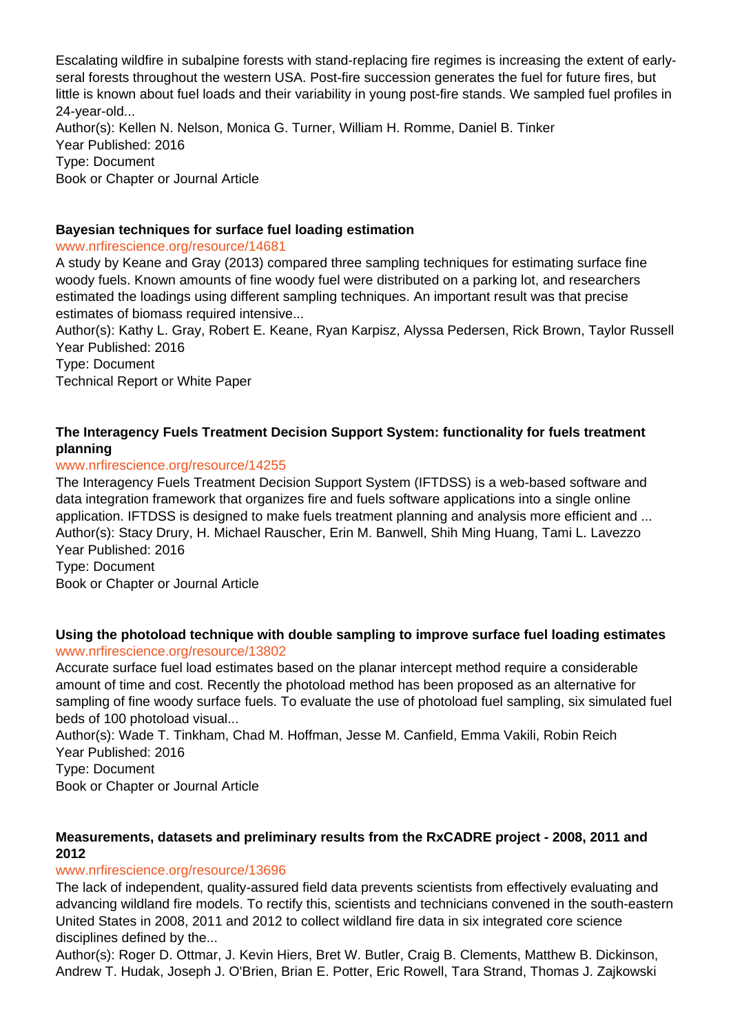Escalating wildfire in subalpine forests with stand-replacing fire regimes is increasing the extent of earlyseral forests throughout the western USA. Post-fire succession generates the fuel for future fires, but little is known about fuel loads and their variability in young post-fire stands. We sampled fuel profiles in 24-year-old...

Author(s): Kellen N. Nelson, Monica G. Turner, William H. Romme, Daniel B. Tinker Year Published: 2016 Type: Document Book or Chapter or Journal Article

## **Bayesian techniques for surface fuel loading estimation**

#### www.nrfirescience.org/resource/14681

A study by Keane and Gray (2013) compared three sampling techniques for estimating surface fine woody fuels. Known amounts of fine woody fuel were distributed on a parking lot, and researchers estimated the loadings using different sampling techniques. An important result was that precise estimates of biomass required intensive...

Author(s): Kathy L. Gray, Robert E. Keane, Ryan Karpisz, Alyssa Pedersen, Rick Brown, Taylor Russell Year Published: 2016

Type: Document

Technical Report or White Paper

## **The Interagency Fuels Treatment Decision Support System: functionality for fuels treatment planning**

## www.nrfirescience.org/resource/14255

The Interagency Fuels Treatment Decision Support System (IFTDSS) is a web-based software and data integration framework that organizes fire and fuels software applications into a single online application. IFTDSS is designed to make fuels treatment planning and analysis more efficient and ... Author(s): Stacy Drury, H. Michael Rauscher, Erin M. Banwell, Shih Ming Huang, Tami L. Lavezzo Year Published: 2016

Type: Document

Book or Chapter or Journal Article

#### **Using the photoload technique with double sampling to improve surface fuel loading estimates** www.nrfirescience.org/resource/13802

Accurate surface fuel load estimates based on the planar intercept method require a considerable amount of time and cost. Recently the photoload method has been proposed as an alternative for sampling of fine woody surface fuels. To evaluate the use of photoload fuel sampling, six simulated fuel beds of 100 photoload visual...

Author(s): Wade T. Tinkham, Chad M. Hoffman, Jesse M. Canfield, Emma Vakili, Robin Reich Year Published: 2016

Type: Document

Book or Chapter or Journal Article

## **Measurements, datasets and preliminary results from the RxCADRE project - 2008, 2011 and 2012**

## www.nrfirescience.org/resource/13696

The lack of independent, quality-assured field data prevents scientists from effectively evaluating and advancing wildland fire models. To rectify this, scientists and technicians convened in the south-eastern United States in 2008, 2011 and 2012 to collect wildland fire data in six integrated core science disciplines defined by the...

Author(s): Roger D. Ottmar, J. Kevin Hiers, Bret W. Butler, Craig B. Clements, Matthew B. Dickinson, Andrew T. Hudak, Joseph J. O'Brien, Brian E. Potter, Eric Rowell, Tara Strand, Thomas J. Zajkowski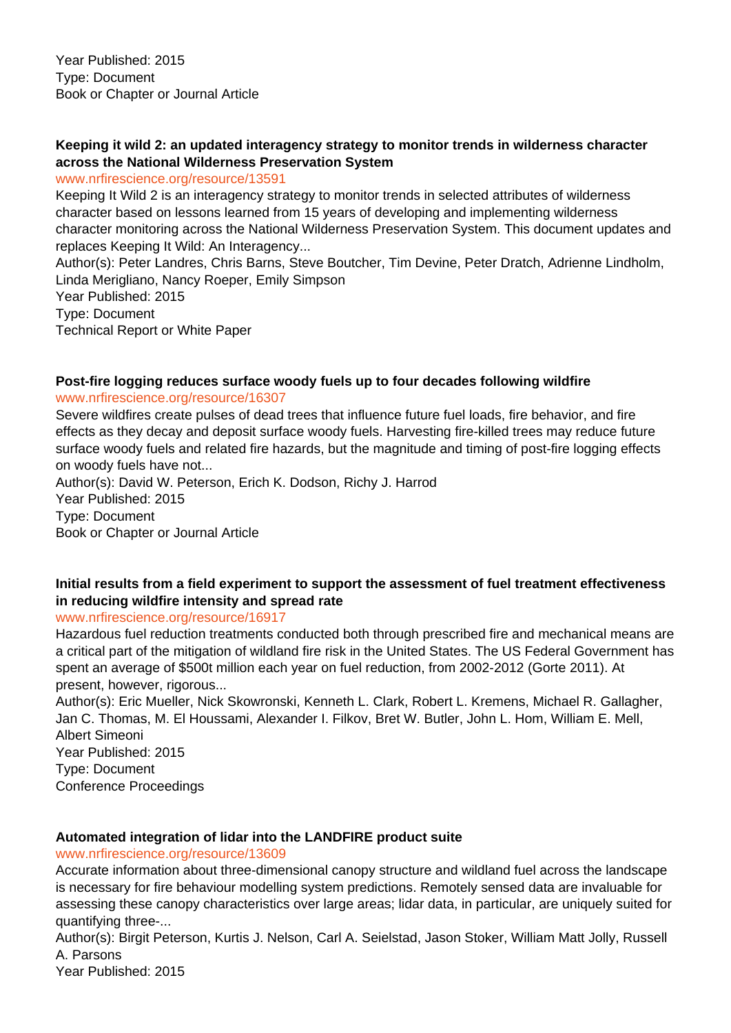## **Keeping it wild 2: an updated interagency strategy to monitor trends in wilderness character across the National Wilderness Preservation System**

#### www.nrfirescience.org/resource/13591

Keeping It Wild 2 is an interagency strategy to monitor trends in selected attributes of wilderness character based on lessons learned from 15 years of developing and implementing wilderness character monitoring across the National Wilderness Preservation System. This document updates and replaces Keeping It Wild: An Interagency...

Author(s): Peter Landres, Chris Barns, Steve Boutcher, Tim Devine, Peter Dratch, Adrienne Lindholm, Linda Merigliano, Nancy Roeper, Emily Simpson Year Published: 2015

Type: Document

Technical Report or White Paper

## **Post-fire logging reduces surface woody fuels up to four decades following wildfire**

#### www.nrfirescience.org/resource/16307

Severe wildfires create pulses of dead trees that influence future fuel loads, fire behavior, and fire effects as they decay and deposit surface woody fuels. Harvesting fire-killed trees may reduce future surface woody fuels and related fire hazards, but the magnitude and timing of post-fire logging effects on woody fuels have not...

Author(s): David W. Peterson, Erich K. Dodson, Richy J. Harrod Year Published: 2015 Type: Document Book or Chapter or Journal Article

## **Initial results from a field experiment to support the assessment of fuel treatment effectiveness in reducing wildfire intensity and spread rate**

www.nrfirescience.org/resource/16917

Hazardous fuel reduction treatments conducted both through prescribed fire and mechanical means are a critical part of the mitigation of wildland fire risk in the United States. The US Federal Government has spent an average of \$500t million each year on fuel reduction, from 2002-2012 (Gorte 2011). At present, however, rigorous...

Author(s): Eric Mueller, Nick Skowronski, Kenneth L. Clark, Robert L. Kremens, Michael R. Gallagher, Jan C. Thomas, M. El Houssami, Alexander I. Filkov, Bret W. Butler, John L. Hom, William E. Mell, Albert Simeoni Year Published: 2015 Type: Document

Conference Proceedings

## **Automated integration of lidar into the LANDFIRE product suite**

www.nrfirescience.org/resource/13609

Accurate information about three-dimensional canopy structure and wildland fuel across the landscape is necessary for fire behaviour modelling system predictions. Remotely sensed data are invaluable for assessing these canopy characteristics over large areas; lidar data, in particular, are uniquely suited for quantifying three-...

Author(s): Birgit Peterson, Kurtis J. Nelson, Carl A. Seielstad, Jason Stoker, William Matt Jolly, Russell A. Parsons

Year Published: 2015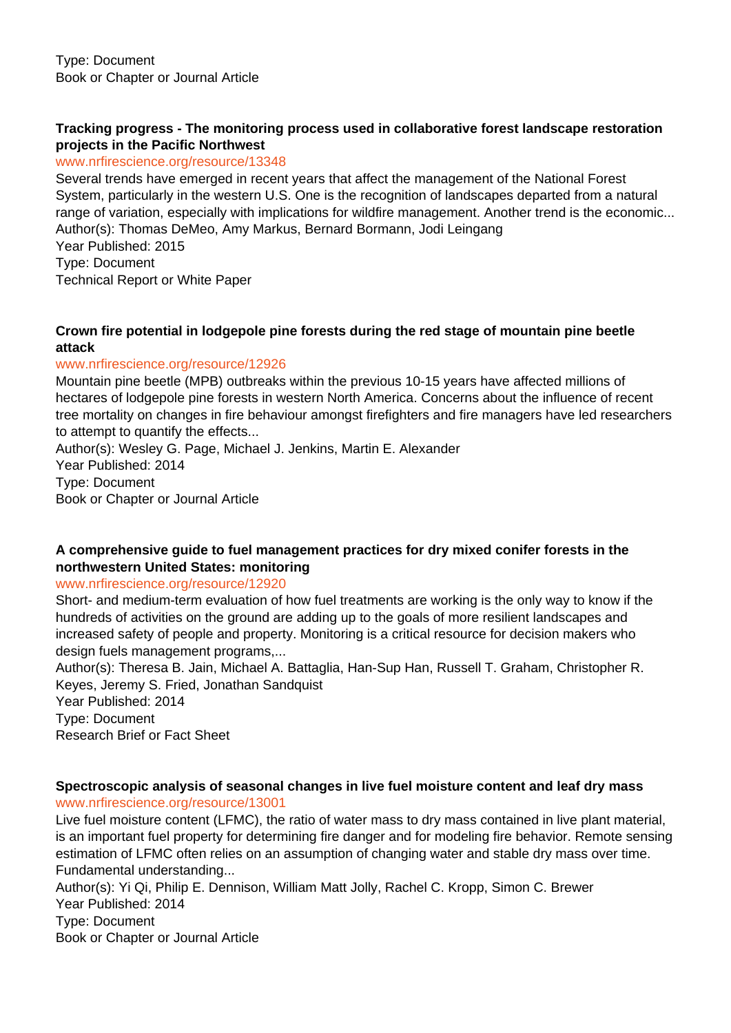#### **Tracking progress - The monitoring process used in collaborative forest landscape restoration projects in the Pacific Northwest**

www.nrfirescience.org/resource/13348

Several trends have emerged in recent years that affect the management of the National Forest System, particularly in the western U.S. One is the recognition of landscapes departed from a natural range of variation, especially with implications for wildfire management. Another trend is the economic... Author(s): Thomas DeMeo, Amy Markus, Bernard Bormann, Jodi Leingang

Year Published: 2015 Type: Document

Technical Report or White Paper

## **Crown fire potential in lodgepole pine forests during the red stage of mountain pine beetle attack**

#### www.nrfirescience.org/resource/12926

Mountain pine beetle (MPB) outbreaks within the previous 10-15 years have affected millions of hectares of lodgepole pine forests in western North America. Concerns about the influence of recent tree mortality on changes in fire behaviour amongst firefighters and fire managers have led researchers to attempt to quantify the effects...

Author(s): Wesley G. Page, Michael J. Jenkins, Martin E. Alexander Year Published: 2014 Type: Document Book or Chapter or Journal Article

## **A comprehensive guide to fuel management practices for dry mixed conifer forests in the northwestern United States: monitoring**

www.nrfirescience.org/resource/12920

Short- and medium-term evaluation of how fuel treatments are working is the only way to know if the hundreds of activities on the ground are adding up to the goals of more resilient landscapes and increased safety of people and property. Monitoring is a critical resource for decision makers who design fuels management programs,...

Author(s): Theresa B. Jain, Michael A. Battaglia, Han-Sup Han, Russell T. Graham, Christopher R. Keyes, Jeremy S. Fried, Jonathan Sandquist

Year Published: 2014 Type: Document Research Brief or Fact Sheet

#### **Spectroscopic analysis of seasonal changes in live fuel moisture content and leaf dry mass** www.nrfirescience.org/resource/13001

Live fuel moisture content (LFMC), the ratio of water mass to dry mass contained in live plant material, is an important fuel property for determining fire danger and for modeling fire behavior. Remote sensing estimation of LFMC often relies on an assumption of changing water and stable dry mass over time. Fundamental understanding...

Author(s): Yi Qi, Philip E. Dennison, William Matt Jolly, Rachel C. Kropp, Simon C. Brewer Year Published: 2014 Type: Document Book or Chapter or Journal Article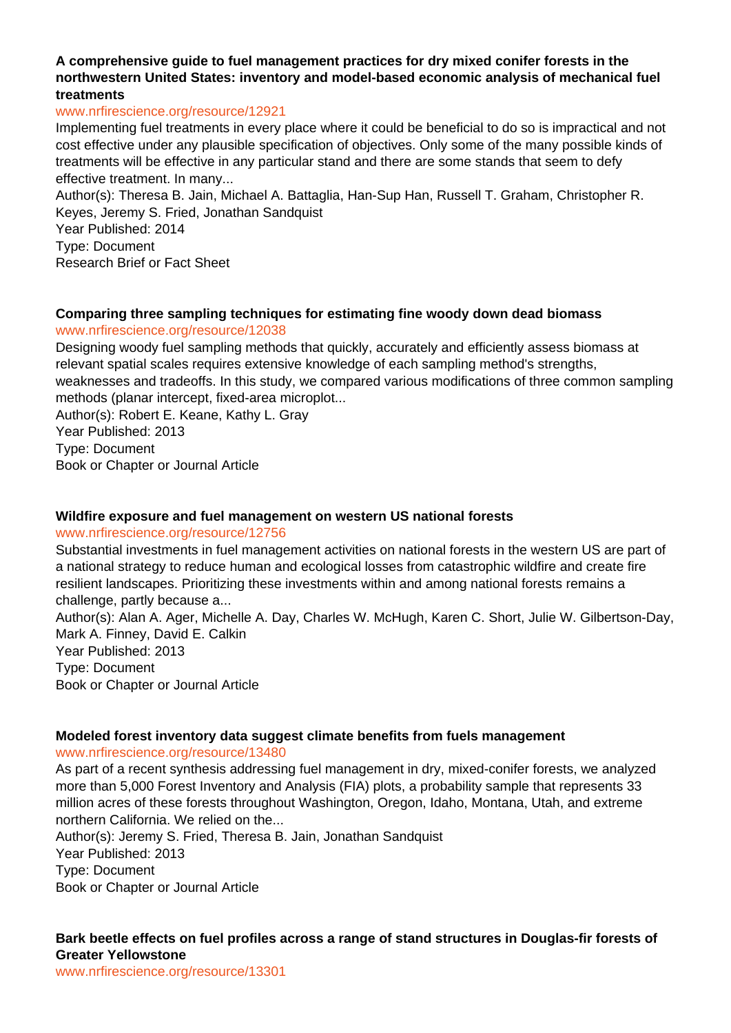#### **A comprehensive guide to fuel management practices for dry mixed conifer forests in the northwestern United States: inventory and model-based economic analysis of mechanical fuel treatments**

#### www.nrfirescience.org/resource/12921

Implementing fuel treatments in every place where it could be beneficial to do so is impractical and not cost effective under any plausible specification of objectives. Only some of the many possible kinds of treatments will be effective in any particular stand and there are some stands that seem to defy effective treatment. In many...

Author(s): Theresa B. Jain, Michael A. Battaglia, Han-Sup Han, Russell T. Graham, Christopher R. Keyes, Jeremy S. Fried, Jonathan Sandquist

Year Published: 2014 Type: Document

Research Brief or Fact Sheet

#### **Comparing three sampling techniques for estimating fine woody down dead biomass**

#### www.nrfirescience.org/resource/12038

Designing woody fuel sampling methods that quickly, accurately and efficiently assess biomass at relevant spatial scales requires extensive knowledge of each sampling method's strengths, weaknesses and tradeoffs. In this study, we compared various modifications of three common sampling methods (planar intercept, fixed-area microplot...

Author(s): Robert E. Keane, Kathy L. Gray Year Published: 2013 Type: Document Book or Chapter or Journal Article

#### **Wildfire exposure and fuel management on western US national forests**

www.nrfirescience.org/resource/12756

Substantial investments in fuel management activities on national forests in the western US are part of a national strategy to reduce human and ecological losses from catastrophic wildfire and create fire resilient landscapes. Prioritizing these investments within and among national forests remains a challenge, partly because a... Author(s): Alan A. Ager, Michelle A. Day, Charles W. McHugh, Karen C. Short, Julie W. Gilbertson-Day, Mark A. Finney, David E. Calkin Year Published: 2013 Type: Document

Book or Chapter or Journal Article

## **Modeled forest inventory data suggest climate benefits from fuels management**

#### www.nrfirescience.org/resource/13480

As part of a recent synthesis addressing fuel management in dry, mixed-conifer forests, we analyzed more than 5,000 Forest Inventory and Analysis (FIA) plots, a probability sample that represents 33 million acres of these forests throughout Washington, Oregon, Idaho, Montana, Utah, and extreme northern California. We relied on the...

Author(s): Jeremy S. Fried, Theresa B. Jain, Jonathan Sandquist Year Published: 2013 Type: Document Book or Chapter or Journal Article

#### **Bark beetle effects on fuel profiles across a range of stand structures in Douglas-fir forests of Greater Yellowstone**

www.nrfirescience.org/resource/13301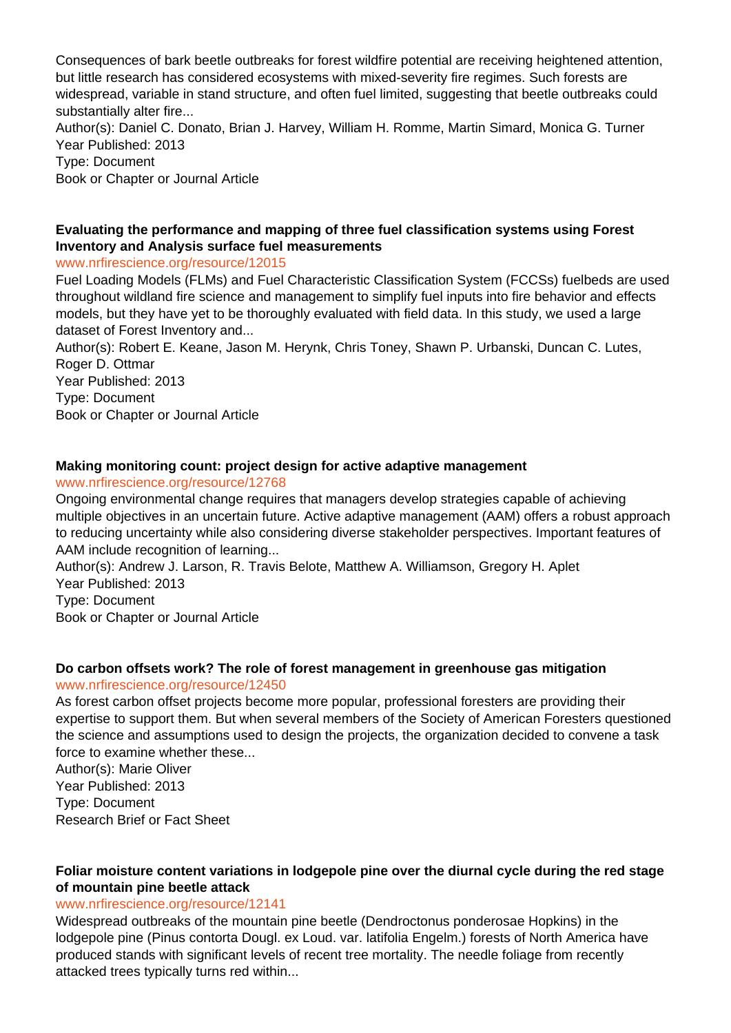Consequences of bark beetle outbreaks for forest wildfire potential are receiving heightened attention, but little research has considered ecosystems with mixed-severity fire regimes. Such forests are widespread, variable in stand structure, and often fuel limited, suggesting that beetle outbreaks could substantially alter fire...

Author(s): Daniel C. Donato, Brian J. Harvey, William H. Romme, Martin Simard, Monica G. Turner Year Published: 2013

Type: Document

Book or Chapter or Journal Article

## **Evaluating the performance and mapping of three fuel classification systems using Forest Inventory and Analysis surface fuel measurements**

## www.nrfirescience.org/resource/12015

Fuel Loading Models (FLMs) and Fuel Characteristic Classification System (FCCSs) fuelbeds are used throughout wildland fire science and management to simplify fuel inputs into fire behavior and effects models, but they have yet to be thoroughly evaluated with field data. In this study, we used a large dataset of Forest Inventory and...

Author(s): Robert E. Keane, Jason M. Herynk, Chris Toney, Shawn P. Urbanski, Duncan C. Lutes, Roger D. Ottmar

Year Published: 2013 Type: Document Book or Chapter or Journal Article

## **Making monitoring count: project design for active adaptive management**

## www.nrfirescience.org/resource/12768

Ongoing environmental change requires that managers develop strategies capable of achieving multiple objectives in an uncertain future. Active adaptive management (AAM) offers a robust approach to reducing uncertainty while also considering diverse stakeholder perspectives. Important features of AAM include recognition of learning...

Author(s): Andrew J. Larson, R. Travis Belote, Matthew A. Williamson, Gregory H. Aplet Year Published: 2013

Type: Document

Book or Chapter or Journal Article

# **Do carbon offsets work? The role of forest management in greenhouse gas mitigation**

## www.nrfirescience.org/resource/12450

As forest carbon offset projects become more popular, professional foresters are providing their expertise to support them. But when several members of the Society of American Foresters questioned the science and assumptions used to design the projects, the organization decided to convene a task force to examine whether these...

Author(s): Marie Oliver Year Published: 2013 Type: Document Research Brief or Fact Sheet

## **Foliar moisture content variations in lodgepole pine over the diurnal cycle during the red stage of mountain pine beetle attack**

## www.nrfirescience.org/resource/12141

Widespread outbreaks of the mountain pine beetle (Dendroctonus ponderosae Hopkins) in the lodgepole pine (Pinus contorta Dougl. ex Loud. var. latifolia Engelm.) forests of North America have produced stands with significant levels of recent tree mortality. The needle foliage from recently attacked trees typically turns red within...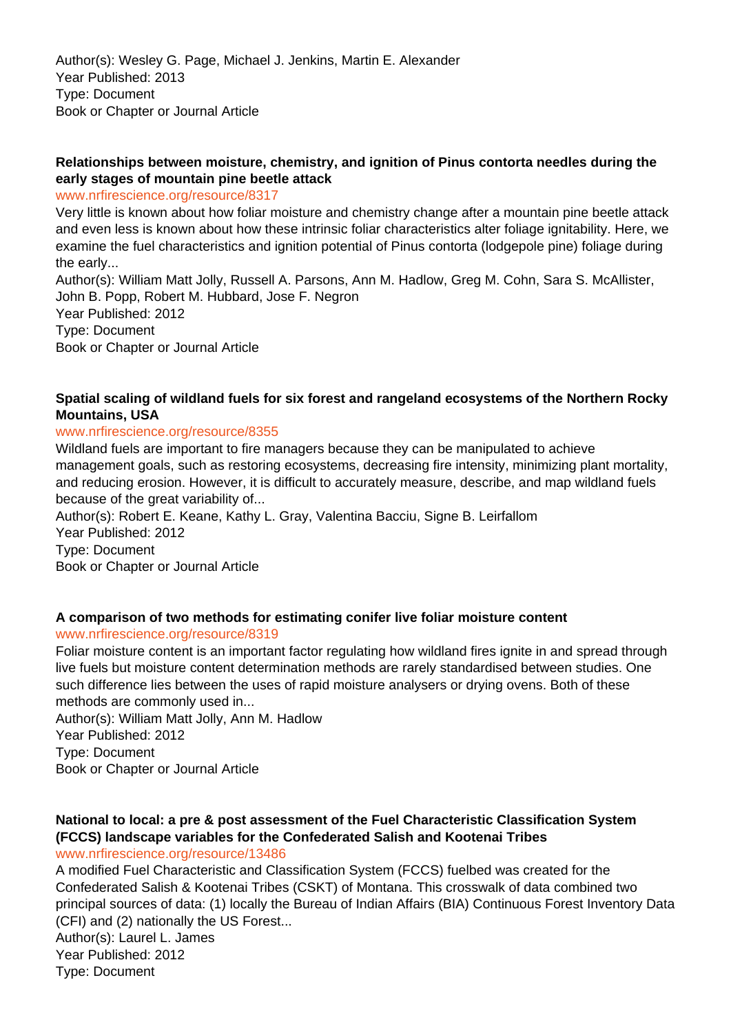Author(s): Wesley G. Page, Michael J. Jenkins, Martin E. Alexander Year Published: 2013 Type: Document Book or Chapter or Journal Article

## **Relationships between moisture, chemistry, and ignition of Pinus contorta needles during the early stages of mountain pine beetle attack**

www.nrfirescience.org/resource/8317

Very little is known about how foliar moisture and chemistry change after a mountain pine beetle attack and even less is known about how these intrinsic foliar characteristics alter foliage ignitability. Here, we examine the fuel characteristics and ignition potential of Pinus contorta (lodgepole pine) foliage during the early...

Author(s): William Matt Jolly, Russell A. Parsons, Ann M. Hadlow, Greg M. Cohn, Sara S. McAllister, John B. Popp, Robert M. Hubbard, Jose F. Negron

Year Published: 2012 Type: Document Book or Chapter or Journal Article

## **Spatial scaling of wildland fuels for six forest and rangeland ecosystems of the Northern Rocky Mountains, USA**

#### www.nrfirescience.org/resource/8355

Wildland fuels are important to fire managers because they can be manipulated to achieve management goals, such as restoring ecosystems, decreasing fire intensity, minimizing plant mortality, and reducing erosion. However, it is difficult to accurately measure, describe, and map wildland fuels because of the great variability of...

Author(s): Robert E. Keane, Kathy L. Gray, Valentina Bacciu, Signe B. Leirfallom Year Published: 2012 Type: Document

Book or Chapter or Journal Article

## **A comparison of two methods for estimating conifer live foliar moisture content**

#### www.nrfirescience.org/resource/8319

Foliar moisture content is an important factor regulating how wildland fires ignite in and spread through live fuels but moisture content determination methods are rarely standardised between studies. One such difference lies between the uses of rapid moisture analysers or drying ovens. Both of these methods are commonly used in...

Author(s): William Matt Jolly, Ann M. Hadlow Year Published: 2012 Type: Document Book or Chapter or Journal Article

#### **National to local: a pre & post assessment of the Fuel Characteristic Classification System (FCCS) landscape variables for the Confederated Salish and Kootenai Tribes** www.nrfirescience.org/resource/13486

A modified Fuel Characteristic and Classification System (FCCS) fuelbed was created for the Confederated Salish & Kootenai Tribes (CSKT) of Montana. This crosswalk of data combined two principal sources of data: (1) locally the Bureau of Indian Affairs (BIA) Continuous Forest Inventory Data (CFI) and (2) nationally the US Forest...

Author(s): Laurel L. James Year Published: 2012 Type: Document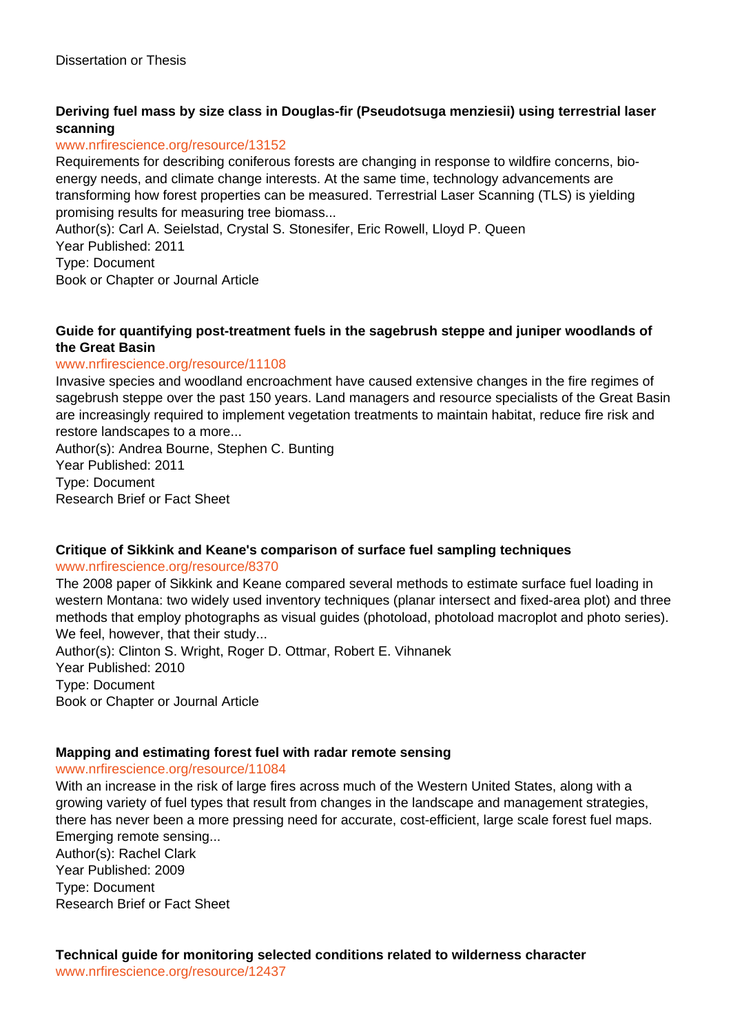## **Deriving fuel mass by size class in Douglas-fir (Pseudotsuga menziesii) using terrestrial laser scanning**

#### www.nrfirescience.org/resource/13152

Requirements for describing coniferous forests are changing in response to wildfire concerns, bioenergy needs, and climate change interests. At the same time, technology advancements are transforming how forest properties can be measured. Terrestrial Laser Scanning (TLS) is yielding promising results for measuring tree biomass...

Author(s): Carl A. Seielstad, Crystal S. Stonesifer, Eric Rowell, Lloyd P. Queen

Year Published: 2011

Type: Document

Book or Chapter or Journal Article

#### **Guide for quantifying post-treatment fuels in the sagebrush steppe and juniper woodlands of the Great Basin**

#### www.nrfirescience.org/resource/11108

Invasive species and woodland encroachment have caused extensive changes in the fire regimes of sagebrush steppe over the past 150 years. Land managers and resource specialists of the Great Basin are increasingly required to implement vegetation treatments to maintain habitat, reduce fire risk and restore landscapes to a more...

Author(s): Andrea Bourne, Stephen C. Bunting Year Published: 2011 Type: Document Research Brief or Fact Sheet

## **Critique of Sikkink and Keane's comparison of surface fuel sampling techniques**

#### www.nrfirescience.org/resource/8370

The 2008 paper of Sikkink and Keane compared several methods to estimate surface fuel loading in western Montana: two widely used inventory techniques (planar intersect and fixed-area plot) and three methods that employ photographs as visual guides (photoload, photoload macroplot and photo series). We feel, however, that their study...

Author(s): Clinton S. Wright, Roger D. Ottmar, Robert E. Vihnanek Year Published: 2010 Type: Document Book or Chapter or Journal Article

## **Mapping and estimating forest fuel with radar remote sensing**

www.nrfirescience.org/resource/11084

With an increase in the risk of large fires across much of the Western United States, along with a growing variety of fuel types that result from changes in the landscape and management strategies, there has never been a more pressing need for accurate, cost-efficient, large scale forest fuel maps. Emerging remote sensing... Author(s): Rachel Clark Year Published: 2009 Type: Document Research Brief or Fact Sheet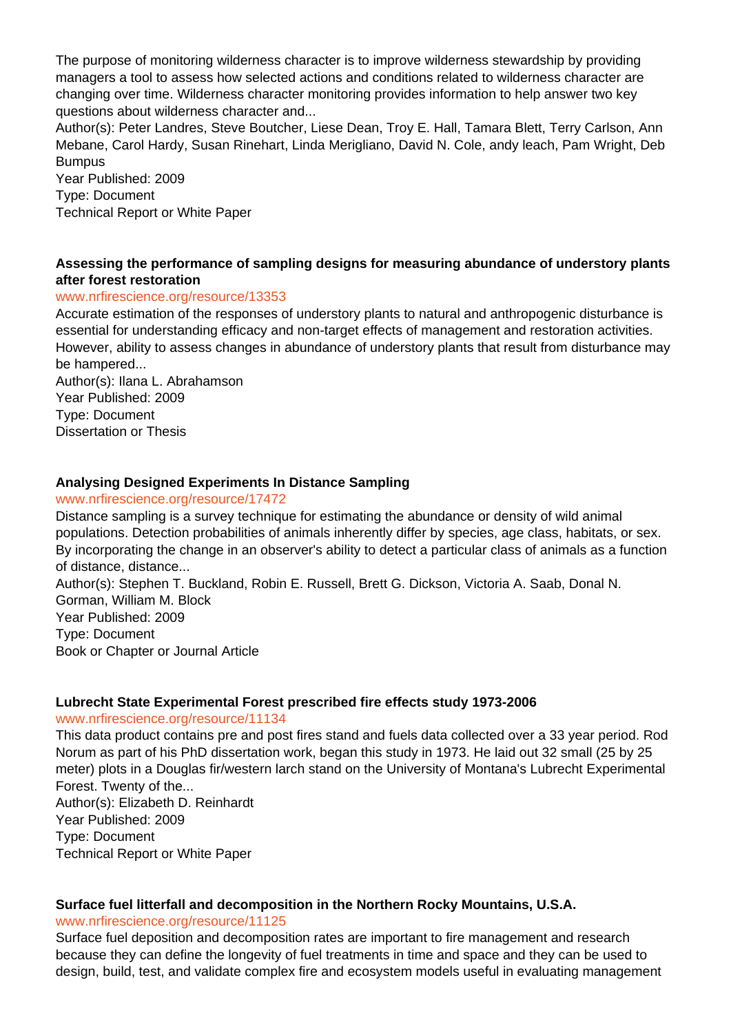The purpose of monitoring wilderness character is to improve wilderness stewardship by providing managers a tool to assess how selected actions and conditions related to wilderness character are changing over time. Wilderness character monitoring provides information to help answer two key questions about wilderness character and...

Author(s): Peter Landres, Steve Boutcher, Liese Dean, Troy E. Hall, Tamara Blett, Terry Carlson, Ann Mebane, Carol Hardy, Susan Rinehart, Linda Merigliano, David N. Cole, andy leach, Pam Wright, Deb **Bumpus** 

Year Published: 2009 Type: Document Technical Report or White Paper

#### **Assessing the performance of sampling designs for measuring abundance of understory plants after forest restoration**

#### www.nrfirescience.org/resource/13353

Accurate estimation of the responses of understory plants to natural and anthropogenic disturbance is essential for understanding efficacy and non-target effects of management and restoration activities. However, ability to assess changes in abundance of understory plants that result from disturbance may be hampered...

Author(s): Ilana L. Abrahamson Year Published: 2009 Type: Document Dissertation or Thesis

## **Analysing Designed Experiments In Distance Sampling**

#### www.nrfirescience.org/resource/17472

Distance sampling is a survey technique for estimating the abundance or density of wild animal populations. Detection probabilities of animals inherently differ by species, age class, habitats, or sex. By incorporating the change in an observer's ability to detect a particular class of animals as a function of distance, distance...

Author(s): Stephen T. Buckland, Robin E. Russell, Brett G. Dickson, Victoria A. Saab, Donal N. Gorman, William M. Block Year Published: 2009 Type: Document Book or Chapter or Journal Article

#### **Lubrecht State Experimental Forest prescribed fire effects study 1973-2006**

#### www.nrfirescience.org/resource/11134

This data product contains pre and post fires stand and fuels data collected over a 33 year period. Rod Norum as part of his PhD dissertation work, began this study in 1973. He laid out 32 small (25 by 25 meter) plots in a Douglas fir/western larch stand on the University of Montana's Lubrecht Experimental Forest. Twenty of the...

Author(s): Elizabeth D. Reinhardt Year Published: 2009 Type: Document Technical Report or White Paper

## **Surface fuel litterfall and decomposition in the Northern Rocky Mountains, U.S.A.**

#### www.nrfirescience.org/resource/11125

Surface fuel deposition and decomposition rates are important to fire management and research because they can define the longevity of fuel treatments in time and space and they can be used to design, build, test, and validate complex fire and ecosystem models useful in evaluating management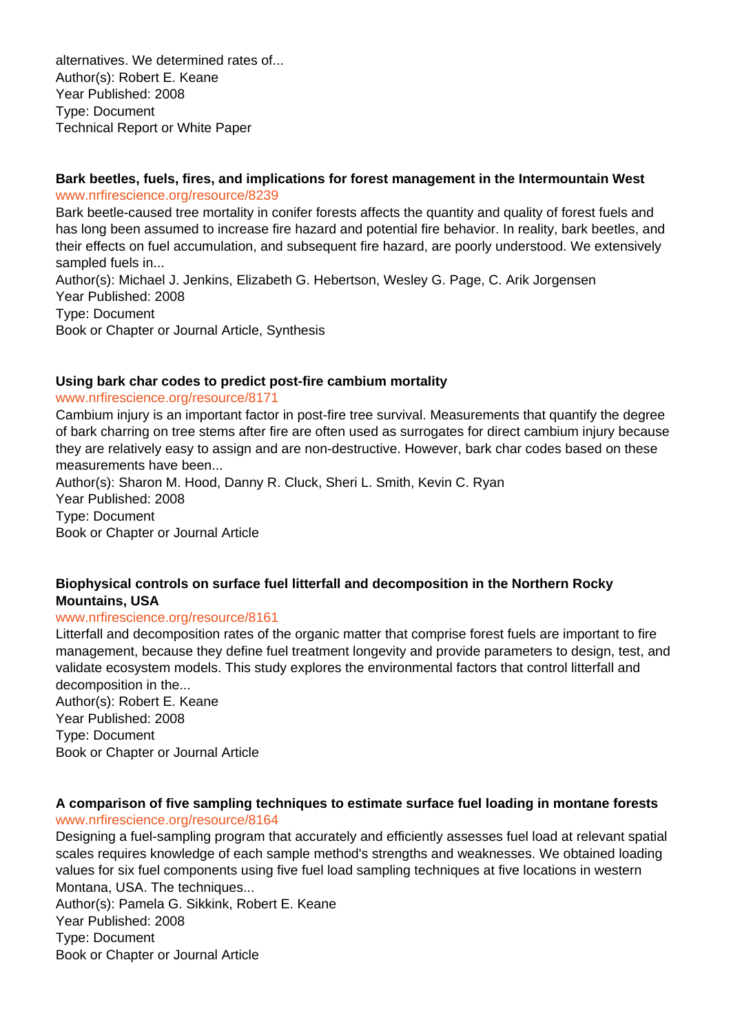alternatives. We determined rates of... Author(s): Robert E. Keane Year Published: 2008 Type: Document Technical Report or White Paper

#### **Bark beetles, fuels, fires, and implications for forest management in the Intermountain West** www.nrfirescience.org/resource/8239

Bark beetle-caused tree mortality in conifer forests affects the quantity and quality of forest fuels and has long been assumed to increase fire hazard and potential fire behavior. In reality, bark beetles, and their effects on fuel accumulation, and subsequent fire hazard, are poorly understood. We extensively sampled fuels in...

Author(s): Michael J. Jenkins, Elizabeth G. Hebertson, Wesley G. Page, C. Arik Jorgensen Year Published: 2008 Type: Document Book or Chapter or Journal Article, Synthesis

#### **Using bark char codes to predict post-fire cambium mortality**

#### www.nrfirescience.org/resource/8171

Cambium injury is an important factor in post-fire tree survival. Measurements that quantify the degree of bark charring on tree stems after fire are often used as surrogates for direct cambium injury because they are relatively easy to assign and are non-destructive. However, bark char codes based on these measurements have been...

Author(s): Sharon M. Hood, Danny R. Cluck, Sheri L. Smith, Kevin C. Ryan Year Published: 2008 Type: Document Book or Chapter or Journal Article

#### **Biophysical controls on surface fuel litterfall and decomposition in the Northern Rocky Mountains, USA**

#### www.nrfirescience.org/resource/8161

Litterfall and decomposition rates of the organic matter that comprise forest fuels are important to fire management, because they define fuel treatment longevity and provide parameters to design, test, and validate ecosystem models. This study explores the environmental factors that control litterfall and decomposition in the...

Author(s): Robert E. Keane Year Published: 2008 Type: Document Book or Chapter or Journal Article

#### **A comparison of five sampling techniques to estimate surface fuel loading in montane forests** www.nrfirescience.org/resource/8164

Designing a fuel-sampling program that accurately and efficiently assesses fuel load at relevant spatial scales requires knowledge of each sample method's strengths and weaknesses. We obtained loading values for six fuel components using five fuel load sampling techniques at five locations in western Montana, USA. The techniques... Author(s): Pamela G. Sikkink, Robert E. Keane Year Published: 2008

Type: Document Book or Chapter or Journal Article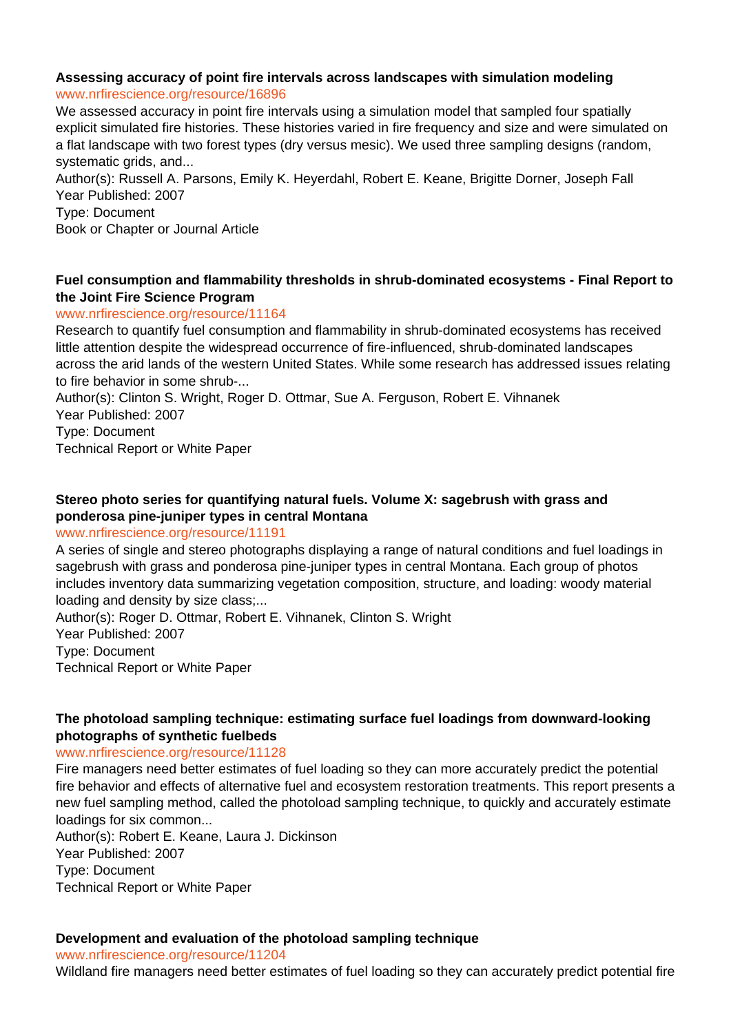#### **Assessing accuracy of point fire intervals across landscapes with simulation modeling** www.nrfirescience.org/resource/16896

We assessed accuracy in point fire intervals using a simulation model that sampled four spatially explicit simulated fire histories. These histories varied in fire frequency and size and were simulated on a flat landscape with two forest types (dry versus mesic). We used three sampling designs (random, systematic grids, and...

Author(s): Russell A. Parsons, Emily K. Heyerdahl, Robert E. Keane, Brigitte Dorner, Joseph Fall Year Published: 2007 Type: Document

Book or Chapter or Journal Article

## **Fuel consumption and flammability thresholds in shrub-dominated ecosystems - Final Report to the Joint Fire Science Program**

## www.nrfirescience.org/resource/11164

Research to quantify fuel consumption and flammability in shrub-dominated ecosystems has received little attention despite the widespread occurrence of fire-influenced, shrub-dominated landscapes across the arid lands of the western United States. While some research has addressed issues relating to fire behavior in some shrub-...

Author(s): Clinton S. Wright, Roger D. Ottmar, Sue A. Ferguson, Robert E. Vihnanek Year Published: 2007

Type: Document

Technical Report or White Paper

## **Stereo photo series for quantifying natural fuels. Volume X: sagebrush with grass and ponderosa pine-juniper types in central Montana**

## www.nrfirescience.org/resource/11191

A series of single and stereo photographs displaying a range of natural conditions and fuel loadings in sagebrush with grass and ponderosa pine-juniper types in central Montana. Each group of photos includes inventory data summarizing vegetation composition, structure, and loading: woody material loading and density by size class;...

Author(s): Roger D. Ottmar, Robert E. Vihnanek, Clinton S. Wright

Year Published: 2007 Type: Document

Technical Report or White Paper

## **The photoload sampling technique: estimating surface fuel loadings from downward-looking photographs of synthetic fuelbeds**

## www.nrfirescience.org/resource/11128

Fire managers need better estimates of fuel loading so they can more accurately predict the potential fire behavior and effects of alternative fuel and ecosystem restoration treatments. This report presents a new fuel sampling method, called the photoload sampling technique, to quickly and accurately estimate loadings for six common...

Author(s): Robert E. Keane, Laura J. Dickinson Year Published: 2007 Type: Document Technical Report or White Paper

## **Development and evaluation of the photoload sampling technique**

www.nrfirescience.org/resource/11204

Wildland fire managers need better estimates of fuel loading so they can accurately predict potential fire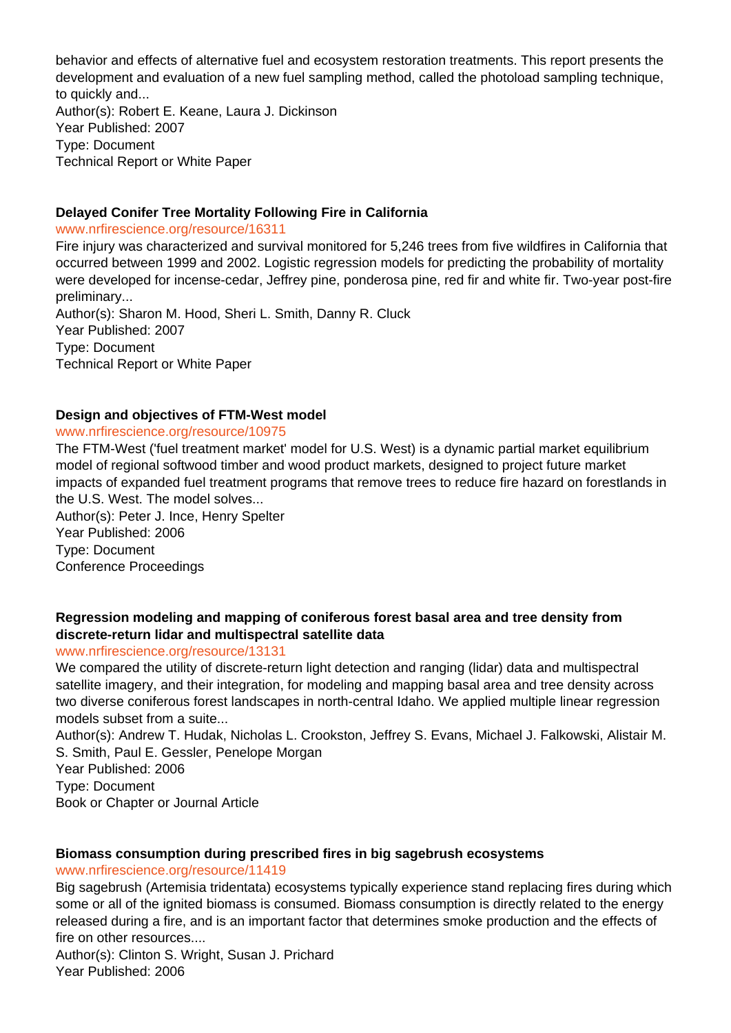behavior and effects of alternative fuel and ecosystem restoration treatments. This report presents the development and evaluation of a new fuel sampling method, called the photoload sampling technique, to quickly and... Author(s): Robert E. Keane, Laura J. Dickinson Year Published: 2007 Type: Document

Technical Report or White Paper

## **Delayed Conifer Tree Mortality Following Fire in California**

www.nrfirescience.org/resource/16311

Fire injury was characterized and survival monitored for 5,246 trees from five wildfires in California that occurred between 1999 and 2002. Logistic regression models for predicting the probability of mortality were developed for incense-cedar, Jeffrey pine, ponderosa pine, red fir and white fir. Two-year post-fire preliminary...

Author(s): Sharon M. Hood, Sheri L. Smith, Danny R. Cluck Year Published: 2007 Type: Document Technical Report or White Paper

#### **Design and objectives of FTM-West model**

#### www.nrfirescience.org/resource/10975

The FTM-West ('fuel treatment market' model for U.S. West) is a dynamic partial market equilibrium model of regional softwood timber and wood product markets, designed to project future market impacts of expanded fuel treatment programs that remove trees to reduce fire hazard on forestlands in the U.S. West. The model solves...

Author(s): Peter J. Ince, Henry Spelter Year Published: 2006 Type: Document Conference Proceedings

## **Regression modeling and mapping of coniferous forest basal area and tree density from discrete-return lidar and multispectral satellite data**

#### www.nrfirescience.org/resource/13131

We compared the utility of discrete-return light detection and ranging (lidar) data and multispectral satellite imagery, and their integration, for modeling and mapping basal area and tree density across two diverse coniferous forest landscapes in north-central Idaho. We applied multiple linear regression models subset from a suite...

Author(s): Andrew T. Hudak, Nicholas L. Crookston, Jeffrey S. Evans, Michael J. Falkowski, Alistair M. S. Smith, Paul E. Gessler, Penelope Morgan

Year Published: 2006

Type: Document Book or Chapter or Journal Article

## **Biomass consumption during prescribed fires in big sagebrush ecosystems**

#### www.nrfirescience.org/resource/11419

Big sagebrush (Artemisia tridentata) ecosystems typically experience stand replacing fires during which some or all of the ignited biomass is consumed. Biomass consumption is directly related to the energy released during a fire, and is an important factor that determines smoke production and the effects of fire on other resources....

Author(s): Clinton S. Wright, Susan J. Prichard Year Published: 2006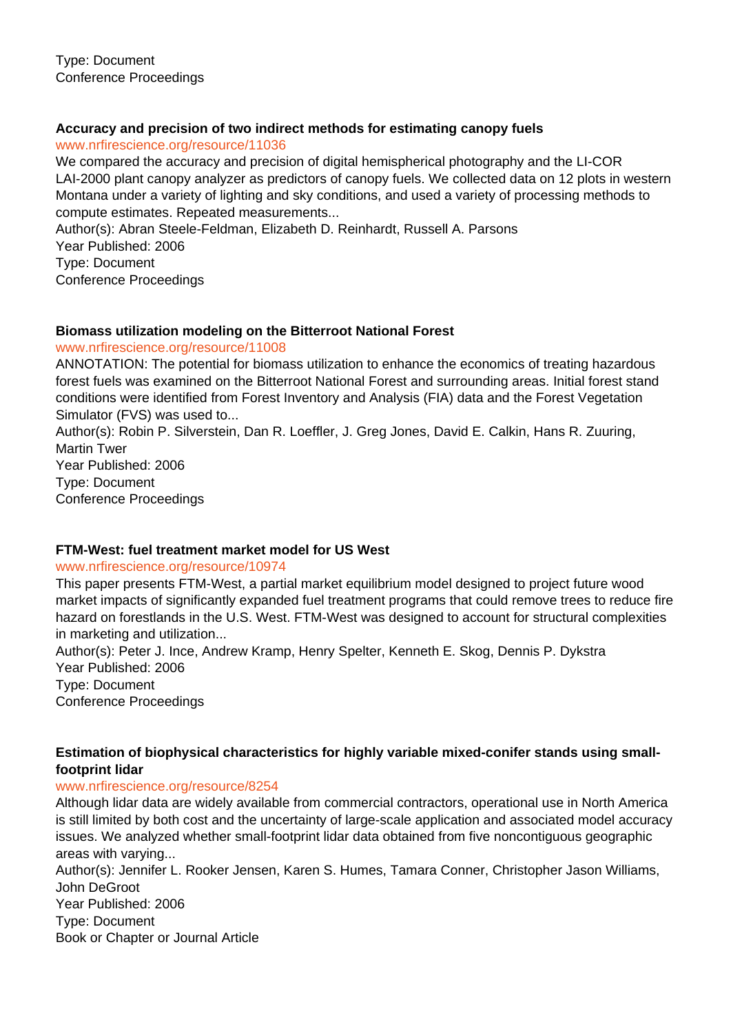## **Accuracy and precision of two indirect methods for estimating canopy fuels**

www.nrfirescience.org/resource/11036

We compared the accuracy and precision of digital hemispherical photography and the LI-COR LAI-2000 plant canopy analyzer as predictors of canopy fuels. We collected data on 12 plots in western Montana under a variety of lighting and sky conditions, and used a variety of processing methods to compute estimates. Repeated measurements...

Author(s): Abran Steele-Feldman, Elizabeth D. Reinhardt, Russell A. Parsons Year Published: 2006 Type: Document Conference Proceedings

## **Biomass utilization modeling on the Bitterroot National Forest**

#### www.nrfirescience.org/resource/11008

ANNOTATION: The potential for biomass utilization to enhance the economics of treating hazardous forest fuels was examined on the Bitterroot National Forest and surrounding areas. Initial forest stand conditions were identified from Forest Inventory and Analysis (FIA) data and the Forest Vegetation Simulator (FVS) was used to...

Author(s): Robin P. Silverstein, Dan R. Loeffler, J. Greg Jones, David E. Calkin, Hans R. Zuuring, Martin Twer Year Published: 2006 Type: Document

Conference Proceedings

## **FTM-West: fuel treatment market model for US West**

#### www.nrfirescience.org/resource/10974

This paper presents FTM-West, a partial market equilibrium model designed to project future wood market impacts of significantly expanded fuel treatment programs that could remove trees to reduce fire hazard on forestlands in the U.S. West. FTM-West was designed to account for structural complexities in marketing and utilization...

Author(s): Peter J. Ince, Andrew Kramp, Henry Spelter, Kenneth E. Skog, Dennis P. Dykstra Year Published: 2006 Type: Document

Conference Proceedings

## **Estimation of biophysical characteristics for highly variable mixed-conifer stands using smallfootprint lidar**

## www.nrfirescience.org/resource/8254

Although lidar data are widely available from commercial contractors, operational use in North America is still limited by both cost and the uncertainty of large-scale application and associated model accuracy issues. We analyzed whether small-footprint lidar data obtained from five noncontiguous geographic areas with varying...

Author(s): Jennifer L. Rooker Jensen, Karen S. Humes, Tamara Conner, Christopher Jason Williams, John DeGroot Year Published: 2006 Type: Document Book or Chapter or Journal Article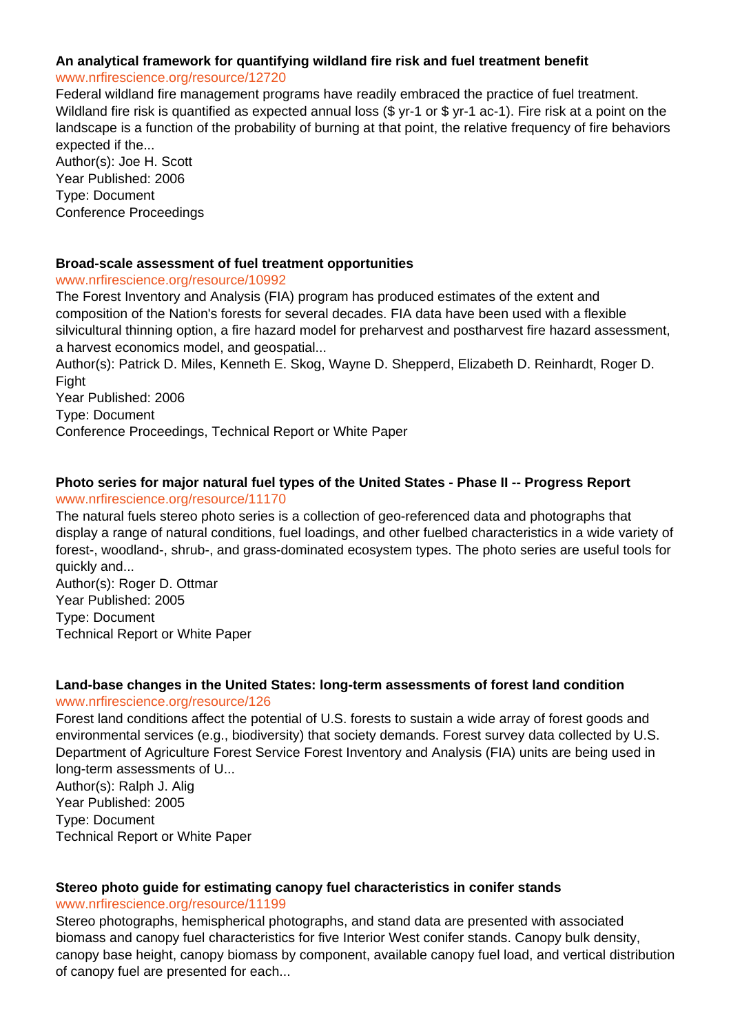## **An analytical framework for quantifying wildland fire risk and fuel treatment benefit**

#### www.nrfirescience.org/resource/12720

Federal wildland fire management programs have readily embraced the practice of fuel treatment. Wildland fire risk is quantified as expected annual loss (\$ yr-1 or \$ yr-1 ac-1). Fire risk at a point on the landscape is a function of the probability of burning at that point, the relative frequency of fire behaviors expected if the...

Author(s): Joe H. Scott Year Published: 2006 Type: Document Conference Proceedings

#### **Broad-scale assessment of fuel treatment opportunities**

#### www.nrfirescience.org/resource/10992

The Forest Inventory and Analysis (FIA) program has produced estimates of the extent and composition of the Nation's forests for several decades. FIA data have been used with a flexible silvicultural thinning option, a fire hazard model for preharvest and postharvest fire hazard assessment, a harvest economics model, and geospatial...

Author(s): Patrick D. Miles, Kenneth E. Skog, Wayne D. Shepperd, Elizabeth D. Reinhardt, Roger D. Fight

Year Published: 2006

Type: Document

Conference Proceedings, Technical Report or White Paper

#### **Photo series for major natural fuel types of the United States - Phase II -- Progress Report** www.nrfirescience.org/resource/11170

The natural fuels stereo photo series is a collection of geo-referenced data and photographs that display a range of natural conditions, fuel loadings, and other fuelbed characteristics in a wide variety of forest-, woodland-, shrub-, and grass-dominated ecosystem types. The photo series are useful tools for quickly and...

Author(s): Roger D. Ottmar Year Published: 2005 Type: Document Technical Report or White Paper

#### **Land-base changes in the United States: long-term assessments of forest land condition** www.nrfirescience.org/resource/126

Forest land conditions affect the potential of U.S. forests to sustain a wide array of forest goods and environmental services (e.g., biodiversity) that society demands. Forest survey data collected by U.S. Department of Agriculture Forest Service Forest Inventory and Analysis (FIA) units are being used in long-term assessments of U...

Author(s): Ralph J. Alig Year Published: 2005 Type: Document Technical Report or White Paper

#### **Stereo photo guide for estimating canopy fuel characteristics in conifer stands** www.nrfirescience.org/resource/11199

Stereo photographs, hemispherical photographs, and stand data are presented with associated biomass and canopy fuel characteristics for five Interior West conifer stands. Canopy bulk density, canopy base height, canopy biomass by component, available canopy fuel load, and vertical distribution of canopy fuel are presented for each...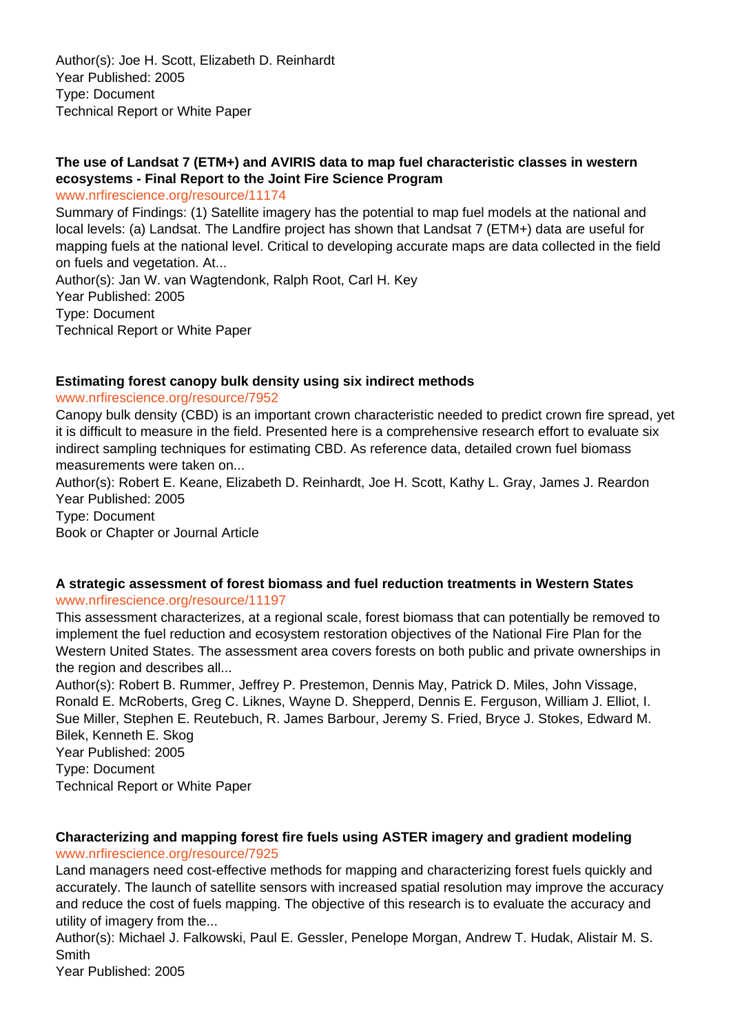Author(s): Joe H. Scott, Elizabeth D. Reinhardt Year Published: 2005 Type: Document Technical Report or White Paper

## **The use of Landsat 7 (ETM+) and AVIRIS data to map fuel characteristic classes in western ecosystems - Final Report to the Joint Fire Science Program**

www.nrfirescience.org/resource/11174

Summary of Findings: (1) Satellite imagery has the potential to map fuel models at the national and local levels: (a) Landsat. The Landfire project has shown that Landsat 7 (ETM+) data are useful for mapping fuels at the national level. Critical to developing accurate maps are data collected in the field on fuels and vegetation. At...

Author(s): Jan W. van Wagtendonk, Ralph Root, Carl H. Key Year Published: 2005 Type: Document Technical Report or White Paper

#### **Estimating forest canopy bulk density using six indirect methods**

www.nrfirescience.org/resource/7952

Canopy bulk density (CBD) is an important crown characteristic needed to predict crown fire spread, yet it is difficult to measure in the field. Presented here is a comprehensive research effort to evaluate six indirect sampling techniques for estimating CBD. As reference data, detailed crown fuel biomass measurements were taken on...

Author(s): Robert E. Keane, Elizabeth D. Reinhardt, Joe H. Scott, Kathy L. Gray, James J. Reardon Year Published: 2005 Type: Document

Book or Chapter or Journal Article

#### **A strategic assessment of forest biomass and fuel reduction treatments in Western States** www.nrfirescience.org/resource/11197

This assessment characterizes, at a regional scale, forest biomass that can potentially be removed to implement the fuel reduction and ecosystem restoration objectives of the National Fire Plan for the Western United States. The assessment area covers forests on both public and private ownerships in the region and describes all...

Author(s): Robert B. Rummer, Jeffrey P. Prestemon, Dennis May, Patrick D. Miles, John Vissage, Ronald E. McRoberts, Greg C. Liknes, Wayne D. Shepperd, Dennis E. Ferguson, William J. Elliot, I. Sue Miller, Stephen E. Reutebuch, R. James Barbour, Jeremy S. Fried, Bryce J. Stokes, Edward M. Bilek, Kenneth E. Skog Year Published: 2005

Type: Document

Technical Report or White Paper

## **Characterizing and mapping forest fire fuels using ASTER imagery and gradient modeling**

www.nrfirescience.org/resource/7925

Land managers need cost-effective methods for mapping and characterizing forest fuels quickly and accurately. The launch of satellite sensors with increased spatial resolution may improve the accuracy and reduce the cost of fuels mapping. The objective of this research is to evaluate the accuracy and utility of imagery from the...

Author(s): Michael J. Falkowski, Paul E. Gessler, Penelope Morgan, Andrew T. Hudak, Alistair M. S. Smith

Year Published: 2005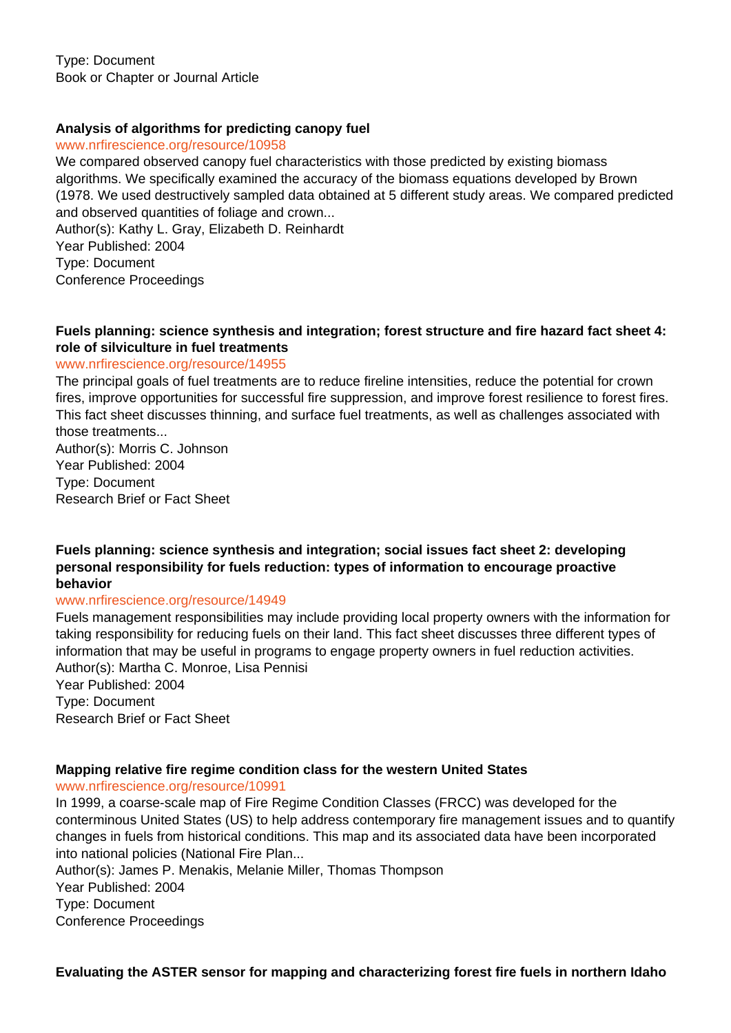Type: Document Book or Chapter or Journal Article

#### **Analysis of algorithms for predicting canopy fuel**

www.nrfirescience.org/resource/10958

We compared observed canopy fuel characteristics with those predicted by existing biomass algorithms. We specifically examined the accuracy of the biomass equations developed by Brown (1978. We used destructively sampled data obtained at 5 different study areas. We compared predicted and observed quantities of foliage and crown... Author(s): Kathy L. Gray, Elizabeth D. Reinhardt Year Published: 2004 Type: Document

Conference Proceedings

#### **Fuels planning: science synthesis and integration; forest structure and fire hazard fact sheet 4: role of silviculture in fuel treatments**

#### www.nrfirescience.org/resource/14955

The principal goals of fuel treatments are to reduce fireline intensities, reduce the potential for crown fires, improve opportunities for successful fire suppression, and improve forest resilience to forest fires. This fact sheet discusses thinning, and surface fuel treatments, as well as challenges associated with those treatments...

Author(s): Morris C. Johnson Year Published: 2004 Type: Document Research Brief or Fact Sheet

**Fuels planning: science synthesis and integration; social issues fact sheet 2: developing personal responsibility for fuels reduction: types of information to encourage proactive behavior**

www.nrfirescience.org/resource/14949

Fuels management responsibilities may include providing local property owners with the information for taking responsibility for reducing fuels on their land. This fact sheet discusses three different types of information that may be useful in programs to engage property owners in fuel reduction activities. Author(s): Martha C. Monroe, Lisa Pennisi Year Published: 2004 Type: Document

Research Brief or Fact Sheet

#### **Mapping relative fire regime condition class for the western United States**

www.nrfirescience.org/resource/10991

In 1999, a coarse-scale map of Fire Regime Condition Classes (FRCC) was developed for the conterminous United States (US) to help address contemporary fire management issues and to quantify changes in fuels from historical conditions. This map and its associated data have been incorporated into national policies (National Fire Plan...

Author(s): James P. Menakis, Melanie Miller, Thomas Thompson

Year Published: 2004

Type: Document

Conference Proceedings

**Evaluating the ASTER sensor for mapping and characterizing forest fire fuels in northern Idaho**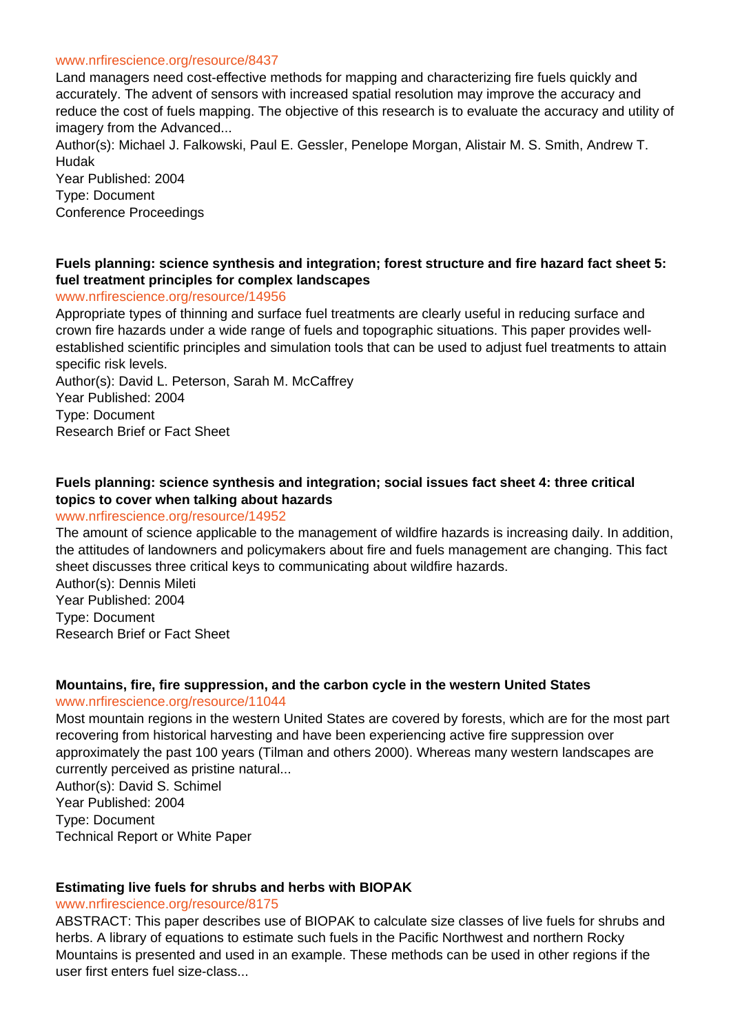#### www.nrfirescience.org/resource/8437

Land managers need cost-effective methods for mapping and characterizing fire fuels quickly and accurately. The advent of sensors with increased spatial resolution may improve the accuracy and reduce the cost of fuels mapping. The objective of this research is to evaluate the accuracy and utility of imagery from the Advanced...

Author(s): Michael J. Falkowski, Paul E. Gessler, Penelope Morgan, Alistair M. S. Smith, Andrew T. Hudak

Year Published: 2004 Type: Document Conference Proceedings

#### **Fuels planning: science synthesis and integration; forest structure and fire hazard fact sheet 5: fuel treatment principles for complex landscapes**

www.nrfirescience.org/resource/14956

Appropriate types of thinning and surface fuel treatments are clearly useful in reducing surface and crown fire hazards under a wide range of fuels and topographic situations. This paper provides wellestablished scientific principles and simulation tools that can be used to adjust fuel treatments to attain specific risk levels.

Author(s): David L. Peterson, Sarah M. McCaffrey Year Published: 2004 Type: Document Research Brief or Fact Sheet

#### **Fuels planning: science synthesis and integration; social issues fact sheet 4: three critical topics to cover when talking about hazards**

#### www.nrfirescience.org/resource/14952

The amount of science applicable to the management of wildfire hazards is increasing daily. In addition, the attitudes of landowners and policymakers about fire and fuels management are changing. This fact sheet discusses three critical keys to communicating about wildfire hazards.

Author(s): Dennis Mileti Year Published: 2004 Type: Document Research Brief or Fact Sheet

## **Mountains, fire, fire suppression, and the carbon cycle in the western United States**

www.nrfirescience.org/resource/11044

Most mountain regions in the western United States are covered by forests, which are for the most part recovering from historical harvesting and have been experiencing active fire suppression over approximately the past 100 years (Tilman and others 2000). Whereas many western landscapes are currently perceived as pristine natural...

Author(s): David S. Schimel Year Published: 2004 Type: Document Technical Report or White Paper

#### **Estimating live fuels for shrubs and herbs with BIOPAK**

#### www.nrfirescience.org/resource/8175

ABSTRACT: This paper describes use of BIOPAK to calculate size classes of live fuels for shrubs and herbs. A library of equations to estimate such fuels in the Pacific Northwest and northern Rocky Mountains is presented and used in an example. These methods can be used in other regions if the user first enters fuel size-class...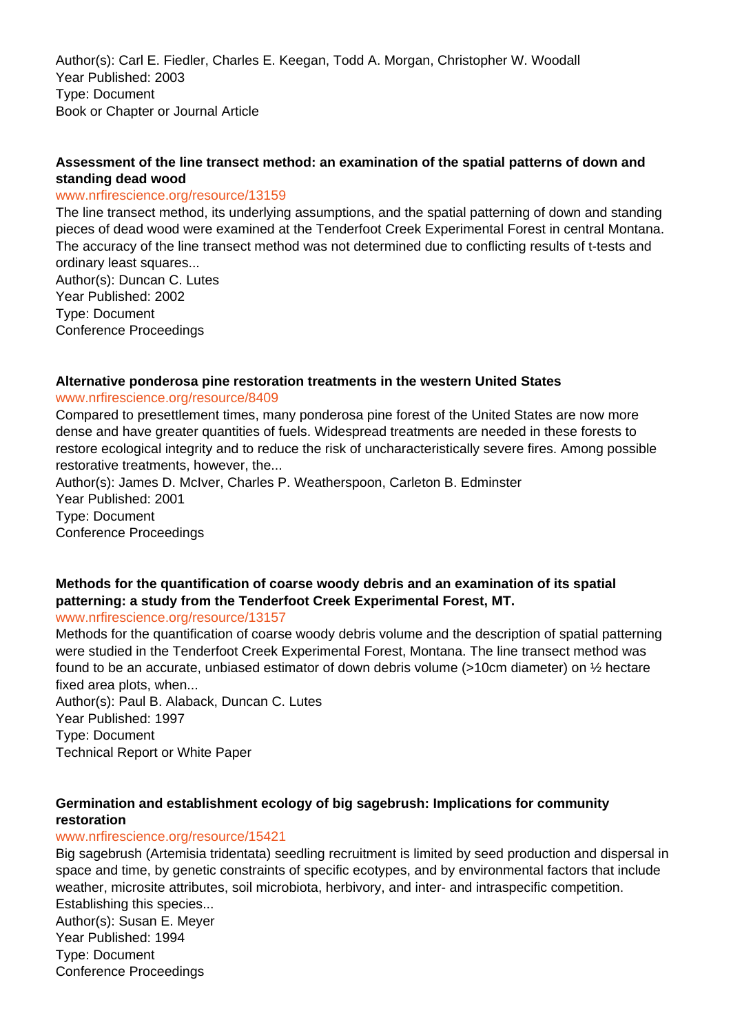Author(s): Carl E. Fiedler, Charles E. Keegan, Todd A. Morgan, Christopher W. Woodall Year Published: 2003 Type: Document Book or Chapter or Journal Article

## **Assessment of the line transect method: an examination of the spatial patterns of down and standing dead wood**

#### www.nrfirescience.org/resource/13159

The line transect method, its underlying assumptions, and the spatial patterning of down and standing pieces of dead wood were examined at the Tenderfoot Creek Experimental Forest in central Montana. The accuracy of the line transect method was not determined due to conflicting results of t-tests and ordinary least squares...

Author(s): Duncan C. Lutes Year Published: 2002 Type: Document Conference Proceedings

#### **Alternative ponderosa pine restoration treatments in the western United States**

#### www.nrfirescience.org/resource/8409

Compared to presettlement times, many ponderosa pine forest of the United States are now more dense and have greater quantities of fuels. Widespread treatments are needed in these forests to restore ecological integrity and to reduce the risk of uncharacteristically severe fires. Among possible restorative treatments, however, the...

Author(s): James D. McIver, Charles P. Weatherspoon, Carleton B. Edminster Year Published: 2001 Type: Document Conference Proceedings

# **Methods for the quantification of coarse woody debris and an examination of its spatial patterning: a study from the Tenderfoot Creek Experimental Forest, MT.**

www.nrfirescience.org/resource/13157

Methods for the quantification of coarse woody debris volume and the description of spatial patterning were studied in the Tenderfoot Creek Experimental Forest, Montana. The line transect method was found to be an accurate, unbiased estimator of down debris volume (>10cm diameter) on ½ hectare fixed area plots, when...

Author(s): Paul B. Alaback, Duncan C. Lutes Year Published: 1997 Type: Document Technical Report or White Paper

#### **Germination and establishment ecology of big sagebrush: Implications for community restoration**

#### www.nrfirescience.org/resource/15421

Big sagebrush (Artemisia tridentata) seedling recruitment is limited by seed production and dispersal in space and time, by genetic constraints of specific ecotypes, and by environmental factors that include weather, microsite attributes, soil microbiota, herbivory, and inter- and intraspecific competition. Establishing this species... Author(s): Susan E. Meyer Year Published: 1994 Type: Document Conference Proceedings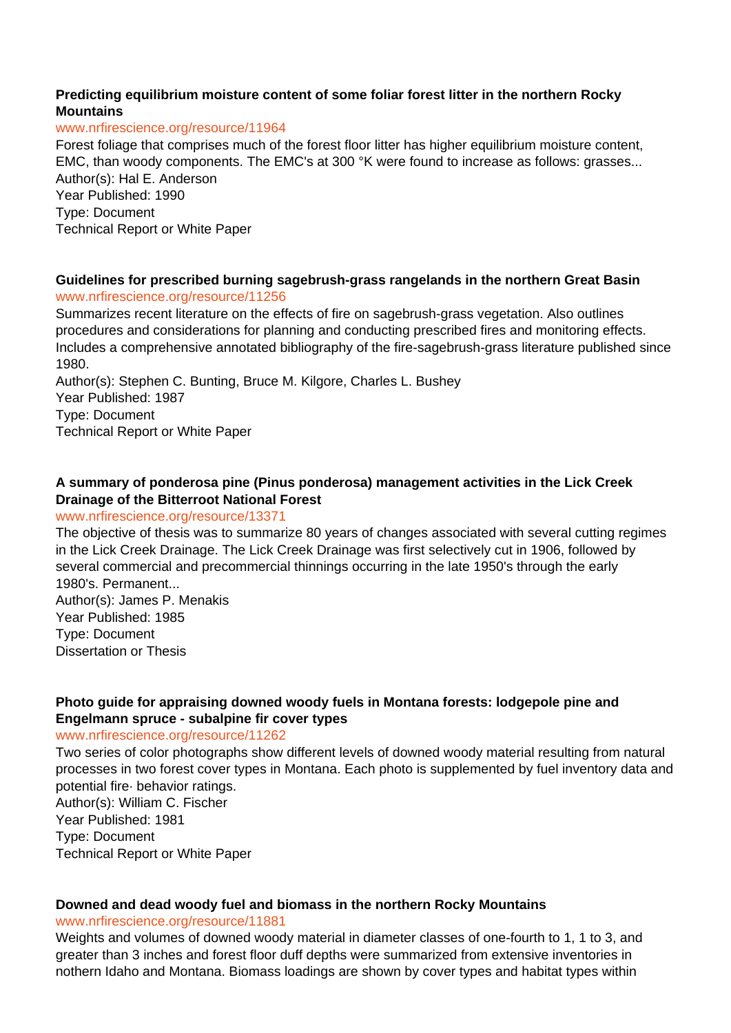#### **Predicting equilibrium moisture content of some foliar forest litter in the northern Rocky Mountains**

#### www.nrfirescience.org/resource/11964

Forest foliage that comprises much of the forest floor litter has higher equilibrium moisture content, EMC, than woody components. The EMC's at 300 °K were found to increase as follows: grasses... Author(s): Hal E. Anderson Year Published: 1990 Type: Document

Technical Report or White Paper

#### **Guidelines for prescribed burning sagebrush-grass rangelands in the northern Great Basin** www.nrfirescience.org/resource/11256

Summarizes recent literature on the effects of fire on sagebrush-grass vegetation. Also outlines procedures and considerations for planning and conducting prescribed fires and monitoring effects. Includes a comprehensive annotated bibliography of the fire-sagebrush-grass literature published since 1980.

Author(s): Stephen C. Bunting, Bruce M. Kilgore, Charles L. Bushey Year Published: 1987 Type: Document Technical Report or White Paper

## **A summary of ponderosa pine (Pinus ponderosa) management activities in the Lick Creek Drainage of the Bitterroot National Forest**

#### www.nrfirescience.org/resource/13371

The objective of thesis was to summarize 80 years of changes associated with several cutting regimes in the Lick Creek Drainage. The Lick Creek Drainage was first selectively cut in 1906, followed by several commercial and precommercial thinnings occurring in the late 1950's through the early 1980's. Permanent... Author(s): James P. Menakis

Year Published: 1985 Type: Document Dissertation or Thesis

## **Photo guide for appraising downed woody fuels in Montana forests: lodgepole pine and Engelmann spruce - subalpine fir cover types**

#### www.nrfirescience.org/resource/11262

Two series of color photographs show different levels of downed woody material resulting from natural processes in two forest cover types in Montana. Each photo is supplemented by fuel inventory data and potential fire· behavior ratings. Author(s): William C. Fischer

Year Published: 1981

Type: Document

Technical Report or White Paper

## **Downed and dead woody fuel and biomass in the northern Rocky Mountains**

www.nrfirescience.org/resource/11881

Weights and volumes of downed woody material in diameter classes of one-fourth to 1, 1 to 3, and greater than 3 inches and forest floor duff depths were summarized from extensive inventories in nothern Idaho and Montana. Biomass loadings are shown by cover types and habitat types within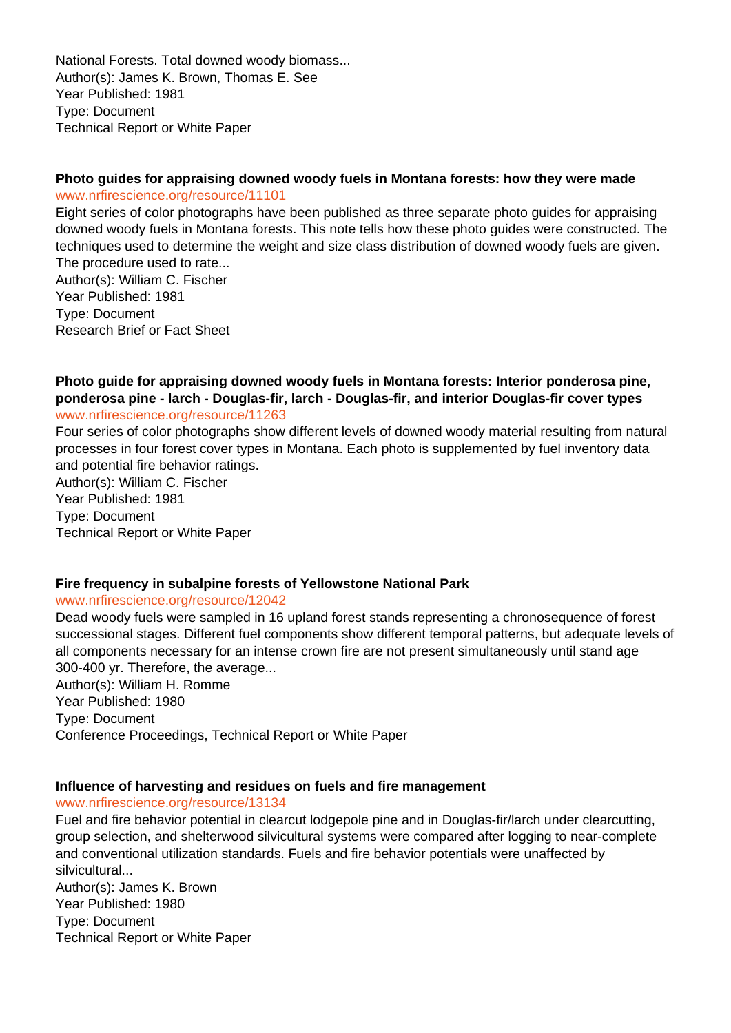National Forests. Total downed woody biomass... Author(s): James K. Brown, Thomas E. See Year Published: 1981 Type: Document Technical Report or White Paper

#### **Photo guides for appraising downed woody fuels in Montana forests: how they were made** www.nrfirescience.org/resource/11101

Eight series of color photographs have been published as three separate photo guides for appraising downed woody fuels in Montana forests. This note tells how these photo guides were constructed. The techniques used to determine the weight and size class distribution of downed woody fuels are given. The procedure used to rate...

Author(s): William C. Fischer Year Published: 1981 Type: Document Research Brief or Fact Sheet

#### **Photo guide for appraising downed woody fuels in Montana forests: Interior ponderosa pine, ponderosa pine - larch - Douglas-fir, larch - Douglas-fir, and interior Douglas-fir cover types** www.nrfirescience.org/resource/11263

Four series of color photographs show different levels of downed woody material resulting from natural processes in four forest cover types in Montana. Each photo is supplemented by fuel inventory data and potential fire behavior ratings.

Author(s): William C. Fischer Year Published: 1981 Type: Document Technical Report or White Paper

#### **Fire frequency in subalpine forests of Yellowstone National Park**

#### www.nrfirescience.org/resource/12042

Dead woody fuels were sampled in 16 upland forest stands representing a chronosequence of forest successional stages. Different fuel components show different temporal patterns, but adequate levels of all components necessary for an intense crown fire are not present simultaneously until stand age 300-400 yr. Therefore, the average...

Author(s): William H. Romme Year Published: 1980 Type: Document Conference Proceedings, Technical Report or White Paper

## **Influence of harvesting and residues on fuels and fire management**

www.nrfirescience.org/resource/13134

Fuel and fire behavior potential in clearcut lodgepole pine and in Douglas-fir/larch under clearcutting, group selection, and shelterwood silvicultural systems were compared after logging to near-complete and conventional utilization standards. Fuels and fire behavior potentials were unaffected by silvicultural...

Author(s): James K. Brown Year Published: 1980 Type: Document Technical Report or White Paper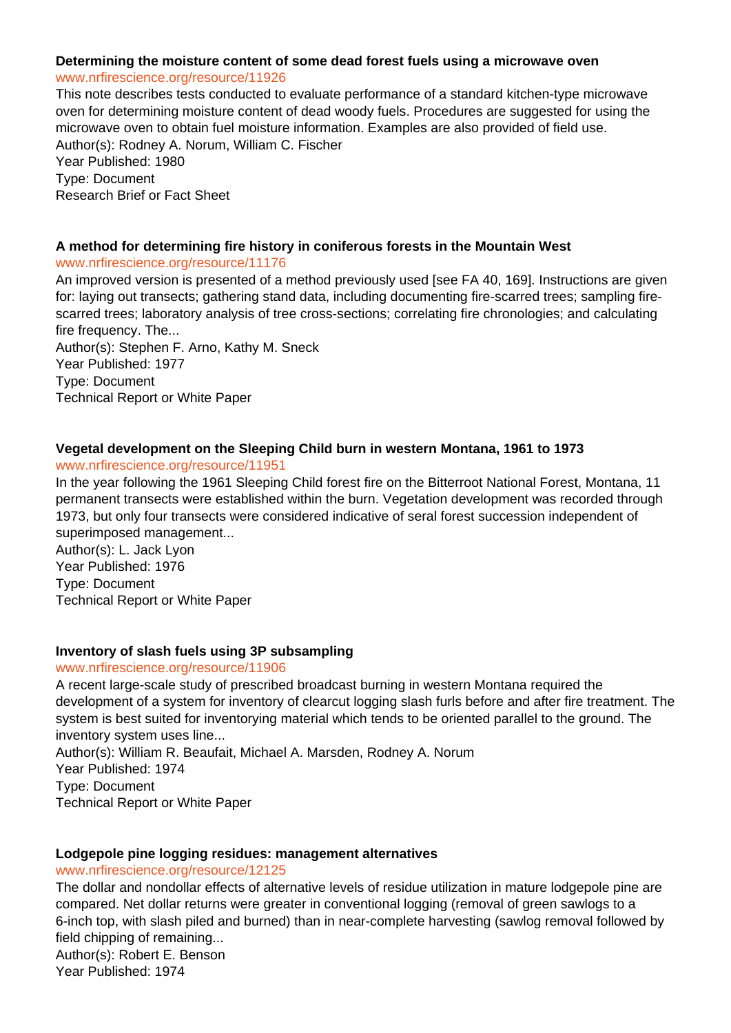# **Determining the moisture content of some dead forest fuels using a microwave oven**

www.nrfirescience.org/resource/11926 This note describes tests conducted to evaluate performance of a standard kitchen-type microwave oven for determining moisture content of dead woody fuels. Procedures are suggested for using the microwave oven to obtain fuel moisture information. Examples are also provided of field use. Author(s): Rodney A. Norum, William C. Fischer Year Published: 1980

Type: Document Research Brief or Fact Sheet

#### **A method for determining fire history in coniferous forests in the Mountain West**

#### www.nrfirescience.org/resource/11176

An improved version is presented of a method previously used [see FA 40, 169]. Instructions are given for: laying out transects; gathering stand data, including documenting fire-scarred trees; sampling firescarred trees; laboratory analysis of tree cross-sections; correlating fire chronologies; and calculating fire frequency. The...

Author(s): Stephen F. Arno, Kathy M. Sneck Year Published: 1977 Type: Document Technical Report or White Paper

## **Vegetal development on the Sleeping Child burn in western Montana, 1961 to 1973**

www.nrfirescience.org/resource/11951

In the year following the 1961 Sleeping Child forest fire on the Bitterroot National Forest, Montana, 11 permanent transects were established within the burn. Vegetation development was recorded through 1973, but only four transects were considered indicative of seral forest succession independent of superimposed management...

Author(s): L. Jack Lyon Year Published: 1976 Type: Document Technical Report or White Paper

## **Inventory of slash fuels using 3P subsampling**

#### www.nrfirescience.org/resource/11906

A recent large-scale study of prescribed broadcast burning in western Montana required the development of a system for inventory of clearcut logging slash furls before and after fire treatment. The system is best suited for inventorying material which tends to be oriented parallel to the ground. The inventory system uses line...

Author(s): William R. Beaufait, Michael A. Marsden, Rodney A. Norum Year Published: 1974 Type: Document Technical Report or White Paper

#### **Lodgepole pine logging residues: management alternatives**

#### www.nrfirescience.org/resource/12125

The dollar and nondollar effects of alternative levels of residue utilization in mature lodgepole pine are compared. Net dollar returns were greater in conventional logging (removal of green sawlogs to a 6-inch top, with slash piled and burned) than in near-complete harvesting (sawlog removal followed by field chipping of remaining... Author(s): Robert E. Benson Year Published: 1974